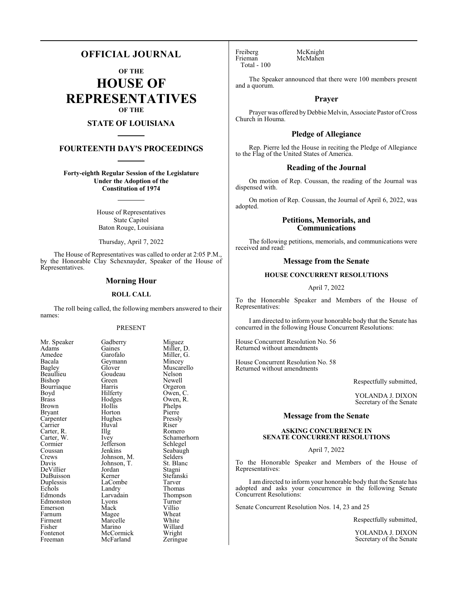# **OFFICIAL JOURNAL**

**OF THE**

**HOUSE OF REPRESENTATIVES OF THE**

# **STATE OF LOUISIANA**

# **FOURTEENTH DAY'S PROCEEDINGS**

**Forty-eighth Regular Session of the Legislature Under the Adoption of the Constitution of 1974**

> House of Representatives State Capitol Baton Rouge, Louisiana

Thursday, April 7, 2022

The House of Representatives was called to order at 2:05 P.M., by the Honorable Clay Schexnayder, Speaker of the House of Representatives.

# **Morning Hour**

#### **ROLL CALL**

The roll being called, the following members answered to their names:

#### PRESENT

Bacala Geymann<br>Bagley Glover Bourriaque Harris<br>Boyd Hilferty Carpenter Cormier Jefferson<br>Coussan Jenkins DuBuisson Kerner<br>Duplessis LaCombe Echols Landry<br>Edmonds Larvadain

Mr. Speaker Gadberry Miguez<br>Adams Gaines Miller, 1 Adams Gaines Miller, D.<br>Amedee Garofalo Miller, G. Amedee Garofalo Miller, G.<br>Bacala Geymann Mincey Glover Muscarello<br>Goudeau Nelson Beaullieu Goudeau Nelson<br>Bishop Green Newell Green Newell<br>Harris Orgeron Boyd Hilferty Owen, C.<br>Brass Hodges Owen, R. Brass Hodges Owen, R. Brown Hollis Phelps<br>Bryant Horton Pierre Horton Pierre<br>Hughes Pressly Carrier Huval Riser Carter, R. Illg. Romero<br>Carter, W. Ivey Schame Carter, W. Ivey Schamerhorn<br>
Cormier Iefferson Schlegel Coussan Jenkins Seabaugh<br>Crews Johnson, M. Selders Crews Johnson, M. Selders<br>Davis Johnson, T. St. Blanc Johnson, T. St. Blanch<br>Jordan Stagni DeVillier Jordan Stagni Duplessis LaCombe Tarver<br>
Echols Landry Thomas Larvadain Thompson<br>
Lyons Turner Edmonston Lyons Turner<br>
Emerson Mack Villio Emerson Mack Villio<br>
Farnum Magee Wheat Farnum Magee Wheat<br>Firment Marcelle White Firment Marcelle White<br>
Fisher Marino Willard Fisher Marino Willard<br>Fontenot McCormick Wright Fontenot McCormick Wright<br>
Freeman McFarland Zeringue McFarland

Freiberg McKnight<br>Frieman McMahen Total - 100

McMahen

The Speaker announced that there were 100 members present and a quorum.

# **Prayer**

Prayer was offered by Debbie Melvin, Associate Pastor of Cross Church in Houma.

# **Pledge of Allegiance**

Rep. Pierre led the House in reciting the Pledge of Allegiance to the Flag of the United States of America.

# **Reading of the Journal**

On motion of Rep. Coussan, the reading of the Journal was dispensed with.

On motion of Rep. Coussan, the Journal of April 6, 2022, was adopted.

# **Petitions, Memorials, and Communications**

The following petitions, memorials, and communications were received and read:

#### **Message from the Senate**

# **HOUSE CONCURRENT RESOLUTIONS**

April 7, 2022

To the Honorable Speaker and Members of the House of Representatives:

I am directed to inform your honorable body that the Senate has concurred in the following House Concurrent Resolutions:

House Concurrent Resolution No. 56 Returned without amendments

House Concurrent Resolution No. 58 Returned without amendments

Respectfully submitted,

YOLANDA J. DIXON Secretary of the Senate

# **Message from the Senate**

# **ASKING CONCURRENCE IN SENATE CONCURRENT RESOLUTIONS**

April 7, 2022

To the Honorable Speaker and Members of the House of Representatives:

I am directed to inform your honorable body that the Senate has adopted and asks your concurrence in the following Senate Concurrent Resolutions:

Senate Concurrent Resolution Nos. 14, 23 and 25

Respectfully submitted,

YOLANDA J. DIXON Secretary of the Senate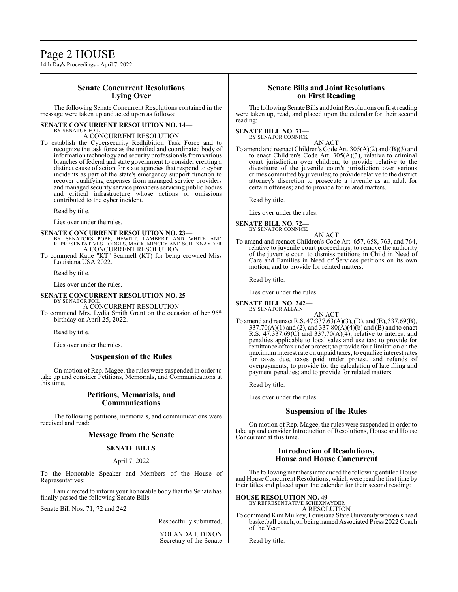# **Senate Concurrent Resolutions Lying Over**

The following Senate Concurrent Resolutions contained in the message were taken up and acted upon as follows:

**SENATE CONCURRENT RESOLUTION NO. 14—**

BY SENATOR FOIL A CONCURRENT RESOLUTION

To establish the Cybersecurity Redhibition Task Force and to recognize the task force as the unified and coordinated body of information technology and security professionals fromvarious branches of federal and state government to consider creating a distinct cause of action for state agencies that respond to cyber incidents as part of the state's emergency support function to recover qualifying expenses from managed service providers and managed security service providers servicing public bodies and critical infrastructure whose actions or omissions contributed to the cyber incident.

Read by title.

Lies over under the rules.

**SENATE CONCURRENT RESOLUTION NO. 23—**<br>BY SENATORS POPE, HEWITT, LAMBERT AND WHITE AND<br>REPRESENTATIVES HODGES, MACK, MINCEY AND SCHEXNAYDER A CONCURRENT RESOLUTION

To commend Katie "KT" Scannell (KT) for being crowned Miss Louisiana USA 2022.

Read by title.

Lies over under the rules.

**SENATE CONCURRENT RESOLUTION NO. 25—** BY SENATOR FOIL

A CONCURRENT RESOLUTION To commend Mrs. Lydia Smith Grant on the occasion of her 95<sup>th</sup> birthday on April 25, 2022.

Read by title.

Lies over under the rules.

#### **Suspension of the Rules**

On motion of Rep. Magee, the rules were suspended in order to take up and consider Petitions, Memorials, and Communications at this time.

# **Petitions, Memorials, and Communications**

The following petitions, memorials, and communications were received and read:

# **Message from the Senate**

# **SENATE BILLS**

#### April 7, 2022

To the Honorable Speaker and Members of the House of Representatives:

I am directed to inform your honorable body that the Senate has finally passed the following Senate Bills:

Senate Bill Nos. 71, 72 and 242

Respectfully submitted,

YOLANDA J. DIXON Secretary of the Senate

# **Senate Bills and Joint Resolutions on First Reading**

The following Senate Bills and Joint Resolutions on first reading were taken up, read, and placed upon the calendar for their second reading:

# **SENATE BILL NO. 71—**

BY SENATOR CONNICK AN ACT

To amend and reenact Children's Code Art. 305(A)(2) and (B)(3) and to enact Children's Code Art. 305(A)(3), relative to criminal court jurisdiction over children; to provide relative to the divestiture of the juvenile court's jurisdiction over serious crimes committed by juveniles; to provide relative to the district attorney's discretion to prosecute a juvenile as an adult for certain offenses; and to provide for related matters.

Read by title.

Lies over under the rules.

**SENATE BILL NO. 72—**

BY SENATOR CONNICK AN ACT

To amend and reenact Children's Code Art. 657, 658, 763, and 764, relative to juvenile court proceedings; to remove the authority of the juvenile court to dismiss petitions in Child in Need of Care and Families in Need of Services petitions on its own motion; and to provide for related matters.

Read by title.

Lies over under the rules.

#### **SENATE BILL NO. 242—** BY SENATOR ALLAIN

AN ACT To amend and reenact R.S. 47:337.63(A)(3), (D), and (E), 337.69(B),  $337.70(A)(1)$  and (2), and  $337.80(A)(4)(b)$  and (B) and to enact R.S.  $47:337.69(C)$  and  $337.70(A)(4)$ , relative to interest and penalties applicable to local sales and use tax; to provide for remittance oftax under protest; to provide for a limitation on the maximuminterest rate on unpaid taxes; to equalize interest rates for taxes due, taxes paid under protest, and refunds of overpayments; to provide for the calculation of late filing and payment penalties; and to provide for related matters.

Read by title.

Lies over under the rules.

# **Suspension of the Rules**

On motion of Rep. Magee, the rules were suspended in order to take up and consider Introduction of Resolutions, House and House Concurrent at this time.

# **Introduction of Resolutions, House and House Concurrent**

The following members introduced the following entitled House and House Concurrent Resolutions, which were read the first time by their titles and placed upon the calendar for their second reading:

# **HOUSE RESOLUTION NO. 49—** BY REPRESENTATIVE SCHEXNAYDER

A RESOLUTION

To commend Kim Mulkey, Louisiana State University women's head basketball coach, on being named Associated Press 2022 Coach of the Year.

Read by title.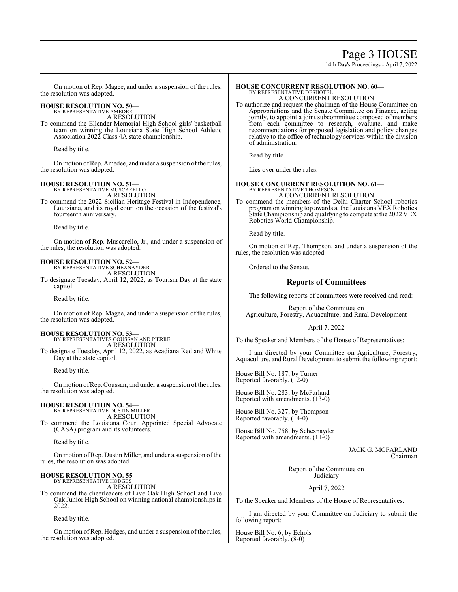# Page 3 HOUSE

14th Day's Proceedings - April 7, 2022

On motion of Rep. Magee, and under a suspension of the rules, the resolution was adopted.

#### **HOUSE RESOLUTION NO. 50—** BY REPRESENTATIVE AMEDEE

A RESOLUTION To commend the Ellender Memorial High School girls' basketball team on winning the Louisiana State High School Athletic Association 2022 Class 4A state championship.

Read by title.

On motion ofRep. Amedee, and under a suspension ofthe rules, the resolution was adopted.

# **HOUSE RESOLUTION NO. 51—** BY REPRESENTATIVE MUSCARELLO

A RESOLUTION

To commend the 2022 Sicilian Heritage Festival in Independence, Louisiana, and its royal court on the occasion of the festival's fourteenth anniversary.

Read by title.

On motion of Rep. Muscarello, Jr., and under a suspension of the rules, the resolution was adopted.

# **HOUSE RESOLUTION NO. 52—**

BY REPRESENTATIVE SCHEXNAYDER A RESOLUTION

To designate Tuesday, April 12, 2022, as Tourism Day at the state capitol.

Read by title.

On motion of Rep. Magee, and under a suspension of the rules, the resolution was adopted.

# **HOUSE RESOLUTION NO. 53—**

BY REPRESENTATIVES COUSSAN AND PIERRE A RESOLUTION

To designate Tuesday, April 12, 2022, as Acadiana Red and White Day at the state capitol.

Read by title.

On motion of Rep. Coussan, and under a suspension of the rules, the resolution was adopted.

# **HOUSE RESOLUTION NO. 54—** BY REPRESENTATIVE DUSTIN MILLER

A RESOLUTION

To commend the Louisiana Court Appointed Special Advocate (CASA) program and its volunteers.

Read by title.

On motion of Rep. Dustin Miller, and under a suspension of the rules, the resolution was adopted.

#### **HOUSE RESOLUTION NO. 55—** BY REPRESENTATIVE HODGES

A RESOLUTION

To commend the cheerleaders of Live Oak High School and Live Oak Junior High School on winning national championships in 2022

Read by title.

On motion of Rep. Hodges, and under a suspension of the rules, the resolution was adopted.

#### **HOUSE CONCURRENT RESOLUTION NO. 60—** BY REPRESENTATIVE DESHOTEL

A CONCURRENT RESOLUTION

To authorize and request the chairmen of the House Committee on Appropriations and the Senate Committee on Finance, acting jointly, to appoint a joint subcommittee composed of members from each committee to research, evaluate, and make recommendations for proposed legislation and policy changes relative to the office of technology services within the division of administration.

Read by title.

Lies over under the rules.

#### **HOUSE CONCURRENT RESOLUTION NO. 61—** BY REPRESENTATIVE THOMPSO A CONCURRENT RESOLUTION

To commend the members of the Delhi Charter School robotics program on winning top awards at the Louisiana VEX Robotics State Championship and qualifying to compete at the 2022 VEX Robotics World Championship.

Read by title.

On motion of Rep. Thompson, and under a suspension of the rules, the resolution was adopted.

Ordered to the Senate.

# **Reports of Committees**

The following reports of committees were received and read:

Report of the Committee on Agriculture, Forestry, Aquaculture, and Rural Development

April 7, 2022

To the Speaker and Members of the House of Representatives:

I am directed by your Committee on Agriculture, Forestry, Aquaculture, and Rural Development to submit the following report:

House Bill No. 187, by Turner Reported favorably. (12-0)

House Bill No. 283, by McFarland Reported with amendments. (13-0)

House Bill No. 327, by Thompson Reported favorably. (14-0)

House Bill No. 758, by Schexnayder Reported with amendments. (11-0)

> JACK G. MCFARLAND Chairman

Report of the Committee on Judiciary

# April 7, 2022

To the Speaker and Members of the House of Representatives:

I am directed by your Committee on Judiciary to submit the following report:

House Bill No. 6, by Echols Reported favorably. (8-0)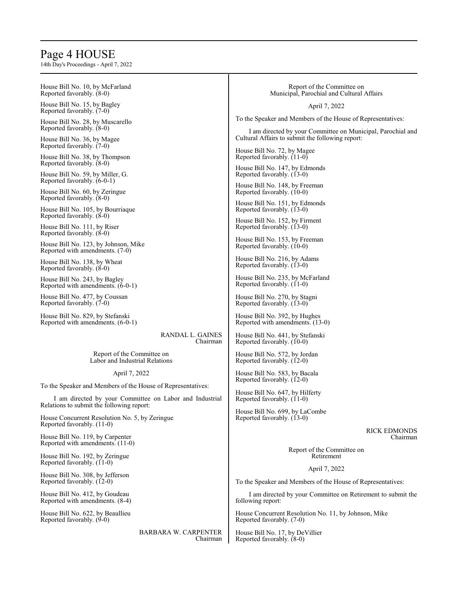# Page 4 HOUSE

14th Day's Proceedings - April 7, 2022

Reported with amendments. (8-4) House Bill No. 622, by Beaullieu Reported favorably. (9-0)

| House Bill No. 10, by McFarland                                                                        | Report of the Committee on                                   |  |
|--------------------------------------------------------------------------------------------------------|--------------------------------------------------------------|--|
| Reported favorably. (8-0)                                                                              | Municipal, Parochial and Cultural Affairs                    |  |
| House Bill No. 15, by Bagley<br>Reported favorably. (7-0)                                              | April 7, 2022                                                |  |
| House Bill No. 28, by Muscarello                                                                       | To the Speaker and Members of the House of Representatives:  |  |
| Reported favorably. (8-0)                                                                              | I am directed by your Committee on Municipal, Parochial and  |  |
| House Bill No. 36, by Magee                                                                            | Cultural Affairs to submit the following report:             |  |
| Reported favorably. (7-0)                                                                              | House Bill No. 72, by Magee                                  |  |
| House Bill No. 38, by Thompson                                                                         | Reported favorably. (11-0)                                   |  |
| Reported favorably. (8-0)                                                                              | House Bill No. 147, by Edmonds                               |  |
| House Bill No. 59, by Miller, G.                                                                       | Reported favorably. (13-0)                                   |  |
| Reported favorably. (6-0-1)                                                                            | House Bill No. 148, by Freeman                               |  |
| House Bill No. 60, by Zeringue                                                                         | Reported favorably. (10-0)                                   |  |
| Reported favorably. (8-0)                                                                              | House Bill No. 151, by Edmonds                               |  |
| House Bill No. 105, by Bourriaque                                                                      | Reported favorably. (13-0)                                   |  |
| Reported favorably. (8-0)                                                                              | House Bill No. 152, by Firment                               |  |
| House Bill No. 111, by Riser                                                                           | Reported favorably. (13-0)                                   |  |
| Reported favorably. $(8-0)$<br>House Bill No. 123, by Johnson, Mike<br>Reported with amendments. (7-0) | House Bill No. 153, by Freeman<br>Reported favorably. (10-0) |  |
| House Bill No. 138, by Wheat                                                                           | House Bill No. 216, by Adams                                 |  |
| Reported favorably. (8-0)                                                                              | Reported favorably. (13-0)                                   |  |
| House Bill No. 243, by Bagley                                                                          | House Bill No. 235, by McFarland                             |  |
| Reported with amendments. (6-0-1)                                                                      | Reported favorably. (11-0)                                   |  |
| House Bill No. 477, by Coussan                                                                         | House Bill No. 270, by Stagni                                |  |
| Reported favorably. (7-0)                                                                              | Reported favorably. (13-0)                                   |  |
| House Bill No. 829, by Stefanski                                                                       | House Bill No. 392, by Hughes                                |  |
| Reported with amendments. (6-0-1)                                                                      | Reported with amendments. (13-0)                             |  |
| RANDAL L. GAINES                                                                                       | House Bill No. 441, by Stefanski                             |  |
| Chairman                                                                                               | Reported favorably. (10-0)                                   |  |
| Report of the Committee on                                                                             | House Bill No. 572, by Jordan                                |  |
| Labor and Industrial Relations                                                                         | Reported favorably. (12-0)                                   |  |
| April 7, 2022                                                                                          | House Bill No. 583, by Bacala<br>Reported favorably. (12-0)  |  |
| To the Speaker and Members of the House of Representatives:                                            | House Bill No. 647, by Hilferty                              |  |
| I am directed by your Committee on Labor and Industrial                                                | Reported favorably. (11-0)                                   |  |
| Relations to submit the following report:                                                              | House Bill No. 699, by LaCombe                               |  |
| House Concurrent Resolution No. 5, by Zeringue                                                         | Reported favorably. (13-0)                                   |  |
| Reported favorably. (11-0)                                                                             | <b>RICK EDMONDS</b>                                          |  |
| House Bill No. 119, by Carpenter<br>Reported with amendments. (11-0)                                   | Chairman                                                     |  |
| House Bill No. 192, by Zeringue                                                                        | Report of the Committee on                                   |  |
| Reported favorably. (11-0)                                                                             | Retirement                                                   |  |
| House Bill No. 308, by Jefferson                                                                       | April 7, 2022                                                |  |
| Reported favorably. (12-0)                                                                             | To the Speaker and Members of the House of Representatives:  |  |
| House Bill No. 412, by Goudeau                                                                         | I am directed by your Committee on Retirement to submit the  |  |

I am directed by your Committee on Retirement to submit the following report:

House Concurrent Resolution No. 11, by Johnson, Mike Reported favorably. (7-0)

House Bill No. 17, by DeVillier Reported favorably. (8-0)

BARBARA W. CARPENTER

Chairman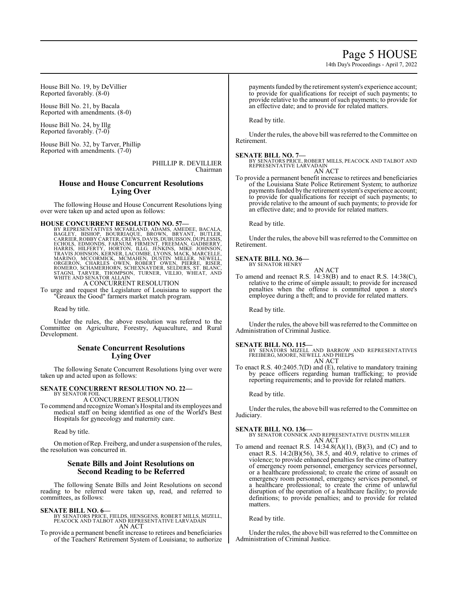# Page 5 HOUSE

14th Day's Proceedings - April 7, 2022

House Bill No. 19, by DeVillier Reported favorably. (8-0)

House Bill No. 21, by Bacala Reported with amendments. (8-0)

House Bill No. 24, by Illg Reported favorably.  $(7-0)$ 

House Bill No. 32, by Tarver, Phillip Reported with amendments. (7-0)

> PHILLIP R. DEVILLIER Chairman

# **House and House Concurrent Resolutions Lying Over**

The following House and House Concurrent Resolutions lying over were taken up and acted upon as follows:

HOUSE CONCURRENT RESOLUTION NO. 57—<br>BY REPRESENTATIVES MCFARLAND, ADAMS, AMEDEE, BACALA,<br>BAGLEY, BISHOP, BOURRIAQUE, BROWN, BRYANT, BUTLER,<br>CARRIER, ROBBY CARTER, CREWS, DAVIS, DUBUISSON, DUPLESSIS,<br>ECHOLS, EDMONDS, FARNUM A CONCURRENT RESOLUTION

To urge and request the Legislature of Louisiana to support the "Greaux the Good" farmers market match program.

Read by title.

Under the rules, the above resolution was referred to the Committee on Agriculture, Forestry, Aquaculture, and Rural Development.

# **Senate Concurrent Resolutions Lying Over**

The following Senate Concurrent Resolutions lying over were taken up and acted upon as follows:

# **SENATE CONCURRENT RESOLUTION NO. 22—**

BY SENATOR FOIL A CONCURRENT RESOLUTION

To commend and recognize Woman's Hospital and its employees and medical staff on being identified as one of the World's Best Hospitals for gynecology and maternity care.

Read by title.

On motion ofRep. Freiberg, and under a suspension ofthe rules, the resolution was concurred in.

# **Senate Bills and Joint Resolutions on Second Reading to be Referred**

The following Senate Bills and Joint Resolutions on second reading to be referred were taken up, read, and referred to committees, as follows:

# **SENATE BILL NO. 6—**

BY SENATORS PRICE, FIELDS, HENSGENS, ROBERT MILLS, MIZELL, PEACOCK AND TALBOT AND REPRESENTATIVE LARVADAIN AN ACT

To provide a permanent benefit increase to retirees and beneficiaries of the Teachers' Retirement System of Louisiana; to authorize payments funded by the retirement system's experience account; to provide for qualifications for receipt of such payments; to provide relative to the amount of such payments; to provide for an effective date; and to provide for related matters.

Read by title.

Under the rules, the above bill was referred to the Committee on Retirement.

**SENATE BILL NO. 7—** BY SENATORS PRICE, ROBERT MILLS, PEACOCK AND TALBOT AND REPRESENTATIVE LARVADAIN AN ACT

To provide a permanent benefit increase to retirees and beneficiaries of the Louisiana State Police Retirement System; to authorize payments funded by the retirement system's experience account; to provide for qualifications for receipt of such payments; to provide relative to the amount of such payments; to provide for an effective date; and to provide for related matters.

Read by title.

Under the rules, the above bill was referred to the Committee on Retirement.

# **SENATE BILL NO. 36—** BY SENATOR HENRY

AN ACT

To amend and reenact R.S. 14:38(B) and to enact R.S. 14:38(C), relative to the crime of simple assault; to provide for increased penalties when the offense is committed upon a store's employee during a theft; and to provide for related matters.

Read by title.

Under the rules, the above bill was referred to the Committee on Administration of Criminal Justice.

# **SENATE BILL NO. 115—**

BY SENATORS MIZELL AND BARROW AND REPRESENTATIVES FREIBERG, MOORE, NEWELL AND PHELPS AN ACT

To enact R.S. 40:2405.7(D) and (E), relative to mandatory training by peace officers regarding human trafficking; to provide reporting requirements; and to provide for related matters.

Read by title.

Under the rules, the above bill was referred to the Committee on Judiciary.

**SENATE BILL NO. 136—** BY SENATOR CONNICK AND REPRESENTATIVE DUSTIN MILLER AN ACT

To amend and reenact R.S.  $14:34.8(A)(1)$ ,  $(B)(3)$ , and  $(C)$  and to enact R.S. 14:2(B)(56), 38.5, and 40.9, relative to crimes of violence; to provide enhanced penalties for the crime of battery of emergency room personnel, emergency services personnel, or a healthcare professional; to create the crime of assault on emergency room personnel, emergency services personnel, or a healthcare professional; to create the crime of unlawful disruption of the operation of a healthcare facility; to provide definitions; to provide penalties; and to provide for related matters.

Read by title.

Under the rules, the above bill was referred to the Committee on Administration of Criminal Justice.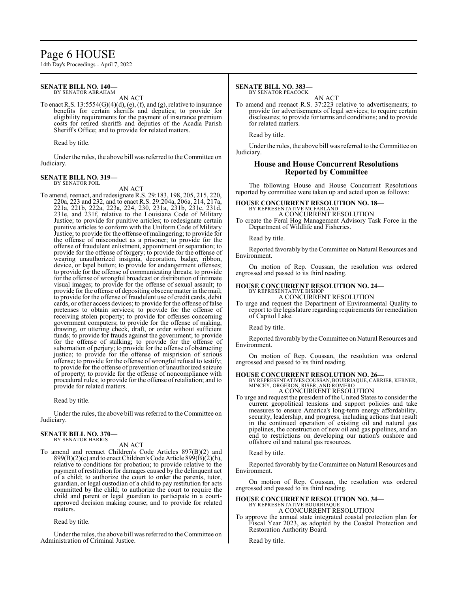# Page 6 HOUSE

14th Day's Proceedings - April 7, 2022

#### **SENATE BILL NO. 140—** BY SENATOR ABRAHAM

AN ACT

To enact R.S.  $13:5554(G)(4)(d)$ , (e), (f), and (g), relative to insurance benefits for certain sheriffs and deputies; to provide for eligibility requirements for the payment of insurance premium costs for retired sheriffs and deputies of the Acadia Parish Sheriff's Office; and to provide for related matters.

Read by title.

Under the rules, the above bill was referred to the Committee on Judiciary.

#### **SENATE BILL NO. 319—** BY SENATOR FOIL

AN ACT

To amend, reenact, and redesignate R.S. 29:183, 198, 205, 215, 220, 220a, 223 and 232, and to enact R.S. 29:204a, 206a, 214, 217a, 221a, 221b, 222a, 223a, 224, 230, 231a, 231b, 231c, 231d, 231e, and 231f, relative to the Louisiana Code of Military Justice; to provide for punitive articles; to redesignate certain punitive articles to conform with the Uniform Code of Military Justice; to provide for the offense of malingering; to provide for the offense of misconduct as a prisoner; to provide for the offense of fraudulent enlistment, appointment or separation; to provide for the offense of forgery; to provide for the offense of wearing unauthorized insignia, decoration, badge, ribbon, device, or lapel button; to provide for endangerment offenses; to provide for the offense of communicating threats; to provide for the offense of wrongful broadcast or distribution of intimate visual images; to provide for the offense of sexual assault; to provide for the offense of depositing obscene matter in the mail; to provide for the offense of fraudulent use of credit cards, debit cards, or other access devices; to provide for the offense of false pretenses to obtain services; to provide for the offense of receiving stolen property; to provide for offenses concerning government computers; to provide for the offense of making, drawing, or uttering check, draft, or order without sufficient funds; to provide for frauds against the government; to provide for the offense of stalking; to provide for the offense of subornation of perjury; to provide for the offense of obstructing justice; to provide for the offense of misprision of serious offense; to provide for the offense of wrongful refusal to testify; to provide for the offense of prevention of unauthorized seizure of property; to provide for the offense of noncompliance with procedural rules; to provide for the offense of retaliation; and to provide for related matters.

Read by title.

Under the rules, the above bill was referred to the Committee on Judiciary.

#### **SENATE BILL NO. 370—** BY SENATOR HARRIS

AN ACT

To amend and reenact Children's Code Articles 897(B)(2) and  $899(B)(2)(c)$  and to enact Children's Code Article  $899(B)(2)(h)$ , relative to conditions for probation; to provide relative to the payment of restitution for damages caused by the delinquent act of a child; to authorize the court to order the parents, tutor, guardian, or legal custodian of a child to pay restitution for acts committed by the child; to authorize the court to require the child and parent or legal guardian to participate in a courtapproved decision making course; and to provide for related matters.

Read by title.

Under the rules, the above bill was referred to the Committee on Administration of Criminal Justice.

# **SENATE BILL NO. 383—**

BY SENATOR PEACOCK

AN ACT To amend and reenact R.S. 37:223 relative to advertisements; to provide for advertisements of legal services; to require certain disclosures; to provide for terms and conditions; and to provide for related matters.

Read by title.

Under the rules, the above bill was referred to the Committee on Judiciary.

# **House and House Concurrent Resolutions Reported by Committee**

The following House and House Concurrent Resolutions reported by committee were taken up and acted upon as follows:

# **HOUSE CONCURRENT RESOLUTION NO. 18—**

BY REPRESENTATIVE MCFARLAND A CONCURRENT RESOLUTION

To create the Feral Hog Management Advisory Task Force in the Department of Wildlife and Fisheries.

Read by title.

Reported favorably by the Committee on Natural Resources and Environment.

On motion of Rep. Coussan, the resolution was ordered engrossed and passed to its third reading.

#### **HOUSE CONCURRENT RESOLUTION NO. 24—** BY REPRESENTATIVE BISHOP

A CONCURRENT RESOLUTION

To urge and request the Department of Environmental Quality to report to the legislature regarding requirements for remediation of Capitol Lake.

Read by title.

Reported favorably by the Committee on Natural Resources and Environment.

On motion of Rep. Coussan, the resolution was ordered engrossed and passed to its third reading.

#### **HOUSE CONCURRENT RESOLUTION NO. 26—**

BY REPRESENTATIVES COUSSAN, BOURRIAQUE, CARRIER, KERNER,<br>MINCEY, ORGERON, RISER, AND ROMERO A CONCURRENT RESOLUTION

To urge and request the president of the United States to consider the current geopolitical tensions and support policies and take measures to ensure America's long-term energy affordability, security, leadership, and progress, including actions that result in the continued operation of existing oil and natural gas pipelines, the construction of new oil and gas pipelines, and an end to restrictions on developing our nation's onshore and offshore oil and natural gas resources.

Read by title.

Reported favorably by the Committee on Natural Resources and Environment.

On motion of Rep. Coussan, the resolution was ordered engrossed and passed to its third reading.

# **HOUSE CONCURRENT RESOLUTION NO. 34—**

BY REPRESENTATIVE BOURRIAQUE A CONCURRENT RESOLUTION

To approve the annual state integrated coastal protection plan for Fiscal Year 2023, as adopted by the Coastal Protection and Restoration Authority Board.

Read by title.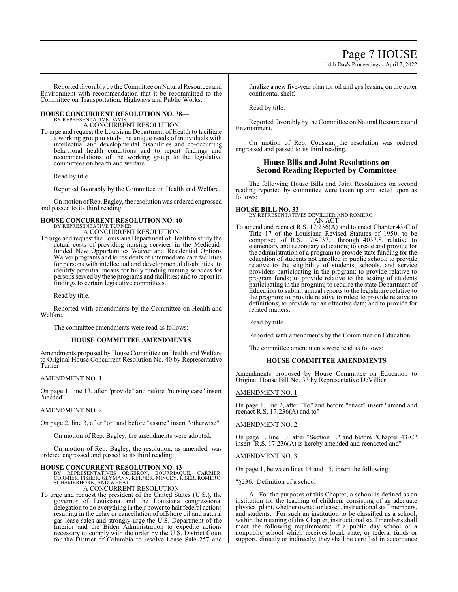14th Day's Proceedings - April 7, 2022

Reported favorably by theCommittee on Natural Resources and Environment with recommendation that it be recommitted to the Committee on Transportation, Highways and Public Works.

#### **HOUSE CONCURRENT RESOLUTION NO. 38—** BY REPRESENTATIVE DAVIS

A CONCURRENT RESOLUTION

To urge and request the Louisiana Department of Health to facilitate a working group to study the unique needs of individuals with intellectual and developmental disabilities and co-occurring behavioral health conditions and to report findings and recommendations of the working group to the legislative committees on health and welfare.

Read by title.

Reported favorably by the Committee on Health and Welfare..

Onmotion ofRep. Bagley, the resolution was ordered engrossed and passed to its third reading.

# **HOUSE CONCURRENT RESOLUTION NO. 40—** BY REPRESENTATIVE TURNER A CONCURRENT RESOLUTION

To urge and request the Louisiana Department of Health to study the actual costs of providing nursing services in the Medicaidfunded New Opportunities Waiver and Residential Options Waiver programs and to residents of intermediate care facilities for persons with intellectual and developmental disabilities; to identify potential means for fully funding nursing services for persons served by these programs and facilities; and to report its findings to certain legislative committees.

Read by title.

Reported with amendments by the Committee on Health and Welfare.

The committee amendments were read as follows:

#### **HOUSE COMMITTEE AMENDMENTS**

Amendments proposed by House Committee on Health and Welfare to Original House Concurrent Resolution No. 40 by Representative Turner

### AMENDMENT NO. 1

On page 1, line 13, after "provide" and before "nursing care" insert "needed"

### AMENDMENT NO. 2

On page 2, line 3, after "or" and before "assure" insert "otherwise"

On motion of Rep. Bagley, the amendments were adopted.

On motion of Rep. Bagley, the resolution, as amended, was ordered engrossed and passed to its third reading.

**HOUSE CONCURRENT RESOLUTION NO. 43—**<br>BY REPRESENTATIVES ORGERON, BOURRIAQUE, CARRIER,<br>CORMIER, FISHER, GEYMANN, KERNER, MINCEY, RISER, ROMERO,<br>SCHAMERHORN, AND WHEAT

A CONCURRENT RESOLUTION

To urge and request the president of the United States (U.S.), the governor of Louisiana and the Louisiana congressional delegation to do everything in their power to halt federal actions resulting in the delay or cancellation of offshore oil and natural gas lease sales and strongly urge the U.S. Department of the Interior and the Biden Administration to expedite actions necessary to comply with the order by the U.S. District Court for the District of Columbia to resolve Lease Sale 257 and

finalize a new five-year plan for oil and gas leasing on the outer continental shelf.

Read by title.

Reported favorably by the Committee on Natural Resources and Environment.

On motion of Rep. Coussan, the resolution was ordered engrossed and passed to its third reading.

# **House Bills and Joint Resolutions on Second Reading Reported by Committee**

The following House Bills and Joint Resolutions on second reading reported by committee were taken up and acted upon as follows:

**HOUSE BILL NO. 33—**

BY REPRESENTATIVES DEVILLIER AND ROMERO AN ACT

To amend and reenact R.S. 17:236(A) and to enact Chapter 43-C of Title 17 of the Louisiana Revised Statutes of 1950, to be comprised of R.S. 17:4037.1 through 4037.8, relative to elementary and secondary education; to create and provide for the administration of a program to provide state funding for the education of students not enrolled in public school; to provide relative to the eligibility of students, schools, and service providers participating in the program; to provide relative to program funds; to provide relative to the testing of students participating in the program; to require the state Department of Education to submit annual reports to the legislature relative to the program; to provide relative to rules; to provide relative to definitions; to provide for an effective date; and to provide for related matters.

Read by title.

Reported with amendments by the Committee on Education.

The committee amendments were read as follows:

# **HOUSE COMMITTEE AMENDMENTS**

Amendments proposed by House Committee on Education to Original House Bill No. 33 by Representative DeVillier

# AMENDMENT NO. 1

On page 1, line 2, after "To" and before "enact" insert "amend and reenact R.S. 17:236(A) and to"

# AMENDMENT NO. 2

On page 1, line 13, after "Section 1." and before "Chapter 43-C" insert "R.S. 17:236(A) is hereby amended and reenacted and"

# AMENDMENT NO. 3

On page 1, between lines 14 and 15, insert the following:

"§236. Definition of a school

A. For the purposes of this Chapter, a school is defined as an institution for the teaching of children, consisting of an adequate physical plant, whether owned or leased, instructional staffmembers, and students. For such an institution to be classified as a school, within the meaning of this Chapter, instructional staff members shall meet the following requirements: if a public day school or a nonpublic school which receives local, state, or federal funds or support, directly or indirectly, they shall be certified in accordance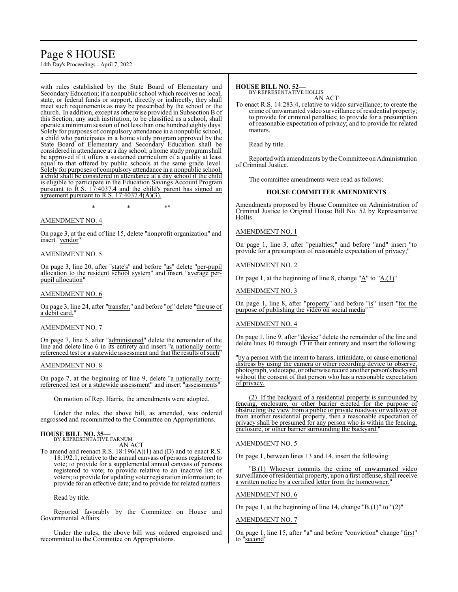# Page 8 HOUSE

14th Day's Proceedings - April 7, 2022

with rules established by the State Board of Elementary and Secondary Education; if a nonpublic school which receives no local, state, or federal funds or support, directly or indirectly, they shall meet such requirements as may be prescribed by the school or the church. In addition, except as otherwise provided in Subsection B of this Section, any such institution, to be classified as a school, shall operate a minimum session of not less than one hundred eighty days. Solely for purposes of compulsory attendance in a nonpublic school, a child who participates in a home study program approved by the State Board of Elementary and Secondary Education shall be considered in attendance at a day school; a home study programshall be approved if it offers a sustained curriculum of a quality at least equal to that offered by public schools at the same grade level. Solely for purposes of compulsory attendance in a nonpublic school, a child shall be considered in attendance at a day school if the child is eligible to participate in the Education Savings Account Program pursuant to R.S. 17:4037.4 and the child's parent has signed an agreement pursuant to R.S.  $17:4037.4(A)(3)$ .

 $*$  \*  $*$  \*  $*$  "

# AMENDMENT NO. 4

On page 3, at the end of line 15, delete "nonprofit organization" and insert "vendor"

#### AMENDMENT NO. 5

On page 3, line 20, after "state's" and before "as" delete "per-pupil allocation to the resident school system" and insert "average perpupil allocation

### AMENDMENT NO. 6

On page 3, line 24, after "transfer," and before "or" delete "the use of a debit card,"

#### AMENDMENT NO. 7

On page 7, line 5, after "administered" delete the remainder of the line and delete line 6 in its entirety and insert "a nationally normreferenced test or a statewide assessment and that the results of such"

#### AMENDMENT NO. 8

On page 7, at the beginning of line 9, delete "a nationally normreferenced test or a statewide assessment" and insert "assessments"

On motion of Rep. Harris, the amendments were adopted.

Under the rules, the above bill, as amended, was ordered engrossed and recommitted to the Committee on Appropriations.

# **HOUSE BILL NO. 35—**

BY REPRESENTATIVE FARNUM AN ACT

To amend and reenact R.S. 18:196(A)(1) and (D) and to enact R.S. 18:192.1, relative to the annual canvass of persons registered to vote; to provide for a supplemental annual canvass of persons registered to vote; to provide relative to an inactive list of voters; to provide for updating voter registration information; to provide for an effective date; and to provide for related matters.

#### Read by title.

Reported favorably by the Committee on House and Governmental Affairs.

Under the rules, the above bill was ordered engrossed and recommitted to the Committee on Appropriations.

#### **HOUSE BILL NO. 52—** BY REPRESENTATIVE HOLLIS

AN ACT

To enact R.S. 14:283.4, relative to video surveillance; to create the crime of unwarranted video surveillance ofresidential property; to provide for criminal penalties; to provide for a presumption of reasonable expectation of privacy; and to provide for related matters.

Read by title.

Reported with amendments by the Committee on Administration of Criminal Justice.

The committee amendments were read as follows:

# **HOUSE COMMITTEE AMENDMENTS**

Amendments proposed by House Committee on Administration of Criminal Justice to Original House Bill No. 52 by Representative Hollis

AMENDMENT NO. 1

On page 1, line 3, after "penalties;" and before "and" insert "to provide for a presumption of reasonable expectation of privacy;"

AMENDMENT NO. 2

On page 1, at the beginning of line 8, change "A" to "A.(1)"

AMENDMENT NO. 3

On page 1, line 8, after "property" and before "is" insert "for the purpose of publishing the video on social media"

# AMENDMENT NO. 4

On page 1, line 9, after "device" delete the remainder of the line and delete lines 10 through 13 in their entirety and insert the following:

"by a person with the intent to harass, intimidate, or cause emotional distress by using the camera or other recording device to observe, photograph, videotape, or otherwise record another person's backyard without the consent of that person who has a reasonable expectation of privacy.

(2) If the backyard of a residential property is surrounded by fencing, enclosure, or other barrier erected for the purpose of obstructing the view from a public or private roadway or walkway or from another residential property, then a reasonable expectation of privacy shall be presumed for any person who is within the fencing, enclosure, or other barrier surrounding the backyard.

# AMENDMENT NO. 5

On page 1, between lines 13 and 14, insert the following:

"B.(1) Whoever commits the crime of unwarranted video surveillance ofresidential property, upon a first offense, shall receive a written notice by a certified letter from the homeowner."

#### AMENDMENT NO. 6

On page 1, at the beginning of line 14, change " $\underline{B(1)}$ " to " $(2)$ "

#### AMENDMENT NO. 7

On page 1, line 15, after "a" and before "conviction" change "first" to "second"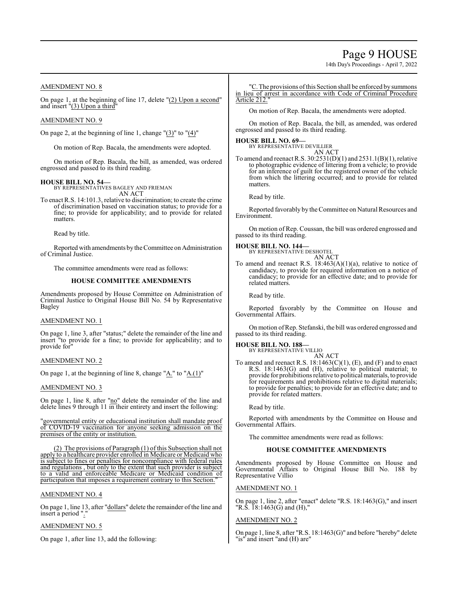# Page 9 HOUSE

14th Day's Proceedings - April 7, 2022

# AMENDMENT NO. 8

On page 1, at the beginning of line 17, delete "(2) Upon a second" and insert "(3) Upon a third"

# AMENDMENT NO. 9

On page 2, at the beginning of line 1, change  $(3)$ " to  $(4)$ "

On motion of Rep. Bacala, the amendments were adopted.

On motion of Rep. Bacala, the bill, as amended, was ordered engrossed and passed to its third reading.

# **HOUSE BILL NO. 54—**

BY REPRESENTATIVES BAGLEY AND FRIEMAN AN ACT

To enact R.S. 14:101.3, relative to discrimination; to create the crime of discrimination based on vaccination status; to provide for a fine; to provide for applicability; and to provide for related matters.

Read by title.

Reported with amendments by the Committee on Administration of Criminal Justice.

The committee amendments were read as follows:

#### **HOUSE COMMITTEE AMENDMENTS**

Amendments proposed by House Committee on Administration of Criminal Justice to Original House Bill No. 54 by Representative Bagley

# AMENDMENT NO. 1

On page 1, line 3, after "status;" delete the remainder of the line and insert "to provide for a fine; to provide for applicability; and to provide for"

### AMENDMENT NO. 2

On page 1, at the beginning of line 8, change " $\underline{A}$ ." to " $\underline{A}$ .(1)"

#### AMENDMENT NO. 3

On page 1, line 8, after "no" delete the remainder of the line and delete lines 9 through 11 in their entirety and insert the following:

"governmental entity or educational institution shall mandate proof of COVID-19 vaccination for anyone seeking admission on the premises of the entity or institution.

(2) The provisions of Paragraph (1) of this Subsection shall not apply to a healthcare provider enrolled in Medicare or Medicaid who is subject to fines or penalties for noncompliance with federal rules and regulations , but only to the extent that such provider is subject to a valid and enforceable Medicare or Medicaid condition of participation that imposes a requirement contrary to this Section.

#### AMENDMENT NO. 4

On page 1, line 13, after "dollars" delete the remainder ofthe line and insert a period "."

#### AMENDMENT NO. 5

On page 1, after line 13, add the following:

"C. The provisions ofthis Section shall be enforced by summons in lieu of arrest in accordance with Code of Criminal Procedure Article 212."

On motion of Rep. Bacala, the amendments were adopted.

On motion of Rep. Bacala, the bill, as amended, was ordered engrossed and passed to its third reading.

#### **HOUSE BILL NO. 69—** BY REPRESENTATIVE DEVILLIER

AN ACT

To amend and reenact R.S. 30:2531(D)(1) and 2531.1(B)(1), relative to photographic evidence of littering from a vehicle; to provide for an inference of guilt for the registered owner of the vehicle from which the littering occurred; and to provide for related matters.

Read by title.

Reported favorably by the Committee on Natural Resources and Environment.

On motion of Rep. Coussan, the bill was ordered engrossed and passed to its third reading.

**HOUSE BILL NO. 144—**

BY REPRESENTATIVE DESHOTEL AN ACT

To amend and reenact R.S. 18:463(A)(1)(a), relative to notice of candidacy, to provide for required information on a notice of candidacy; to provide for an effective date; and to provide for related matters.

Read by title.

Reported favorably by the Committee on House and Governmental Affairs.

On motion ofRep. Stefanski, the bill was ordered engrossed and passed to its third reading.

**HOUSE BILL NO. 188—** BY REPRESENTATIVE VILLIO AN ACT

To amend and reenact R.S.  $18:1463(C)(1)$ , (E), and (F) and to enact R.S. 18:1463(G) and (H), relative to political material; to provide for prohibitions relative to political materials, to provide for requirements and prohibitions relative to digital materials; to provide for penalties; to provide for an effective date; and to provide for related matters.

Read by title.

Reported with amendments by the Committee on House and Governmental Affairs.

The committee amendments were read as follows:

#### **HOUSE COMMITTEE AMENDMENTS**

Amendments proposed by House Committee on House and Governmental Affairs to Original House Bill No. 188 by Representative Villio

#### AMENDMENT NO. 1

On page 1, line 2, after "enact" delete "R.S. 18:1463(G)," and insert "R.S. 18:1463(G) and (H),"

# AMENDMENT NO. 2

On page 1, line 8, after "R.S. 18:1463(G)" and before "hereby" delete "is" and insert "and (H) are"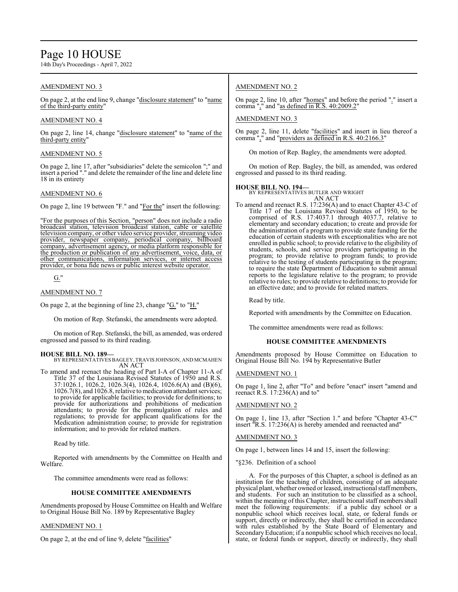# Page 10 HOUSE

14th Day's Proceedings - April 7, 2022

# AMENDMENT NO. 3

On page 2, at the end line 9, change "disclosure statement" to "name of the third-party entity"

# AMENDMENT NO. 4

On page 2, line 14, change "disclosure statement" to "name of the third-party entity"

# AMENDMENT NO. 5

On page 2, line 17, after "subsidiaries" delete the semicolon ";" and insert a period "." and delete the remainder of the line and delete line 18 in its entirety

# AMENDMENT NO. 6

On page 2, line 19 between "F." and "For the" insert the following:

"For the purposes of this Section, "person" does not include a radio broadcast station, television broadcast station, cable or satellite television company, or other video service provider, streaming video provider, newspaper company, periodical company, billboard company, advertisement agency, or media platform responsible for the production or publication of any advertisement, voice, data, or other communications, information services, or internet access provider, or bona fide news or public interest website operator.

# G."

# AMENDMENT NO. 7

On page 2, at the beginning of line 23, change "G." to "H."

On motion of Rep. Stefanski, the amendments were adopted.

On motion of Rep. Stefanski, the bill, as amended, was ordered engrossed and passed to its third reading.

# **HOUSE BILL NO. 189—**

BY REPRESENTATIVES BAGLEY, TRAVIS JOHNSON, AND MCMAHEN AN ACT

To amend and reenact the heading of Part I-A of Chapter 11-A of Title 37 of the Louisiana Revised Statutes of 1950 and R.S. 37:1026.1, 1026.2, 1026.3(4), 1026.4, 1026.6(A) and (B)(6), 1026.7(8), and 1026.8, relative to medication attendant services; to provide for applicable facilities; to provide for definitions; to provide for authorizations and prohibitions of medication attendants; to provide for the promulgation of rules and regulations; to provide for applicant qualifications for the Medication administration course; to provide for registration information; and to provide for related matters.

Read by title.

Reported with amendments by the Committee on Health and Welfare.

The committee amendments were read as follows:

# **HOUSE COMMITTEE AMENDMENTS**

Amendments proposed by House Committee on Health and Welfare to Original House Bill No. 189 by Representative Bagley

# AMENDMENT NO. 1

On page 2, at the end of line 9, delete "facilities"

# AMENDMENT NO. 2

On page 2, line 10, after "homes" and before the period "." insert a comma "," and "as defined in R.S.  $40:2009.2$ "

# AMENDMENT NO. 3

On page 2, line 11, delete "facilities" and insert in lieu thereof a comma "," and "providers as defined in R.S. 40:2166.3"

On motion of Rep. Bagley, the amendments were adopted.

On motion of Rep. Bagley, the bill, as amended, was ordered engrossed and passed to its third reading.

# **HOUSE BILL NO. 194—**

BY REPRESENTATIVES BUTLER AND WRIGHT

AN ACT To amend and reenact R.S. 17:236(A) and to enact Chapter 43-C of Title 17 of the Louisiana Revised Statutes of 1950, to be comprised of R.S. 17:4037.1 through 4037.7, relative to elementary and secondary education; to create and provide for the administration of a program to provide state funding for the education of certain students with exceptionalities who are not enrolled in public school; to provide relative to the eligibility of students, schools, and service providers participating in the program; to provide relative to program funds; to provide relative to the testing of students participating in the program; to require the state Department of Education to submit annual reports to the legislature relative to the program; to provide relative to rules; to provide relative to definitions; to provide for an effective date; and to provide for related matters.

Read by title.

Reported with amendments by the Committee on Education.

The committee amendments were read as follows:

#### **HOUSE COMMITTEE AMENDMENTS**

Amendments proposed by House Committee on Education to Original House Bill No. 194 by Representative Butler

# AMENDMENT NO. 1

On page 1, line 2, after "To" and before "enact" insert "amend and reenact R.S. 17:236(A) and to"

# AMENDMENT NO. 2

On page 1, line 13, after "Section 1." and before "Chapter 43-C" insert "R.S. 17:236(A) is hereby amended and reenacted and"

# AMENDMENT NO. 3

On page 1, between lines 14 and 15, insert the following:

"§236. Definition of a school

A. For the purposes of this Chapter, a school is defined as an institution for the teaching of children, consisting of an adequate physical plant, whether owned or leased, instructional staffmembers, and students. For such an institution to be classified as a school, within the meaning of this Chapter, instructional staff members shall meet the following requirements: if a public day school or a nonpublic school which receives local, state, or federal funds or support, directly or indirectly, they shall be certified in accordance with rules established by the State Board of Elementary and Secondary Education; if a nonpublic school which receives no local, state, or federal funds or support, directly or indirectly, they shall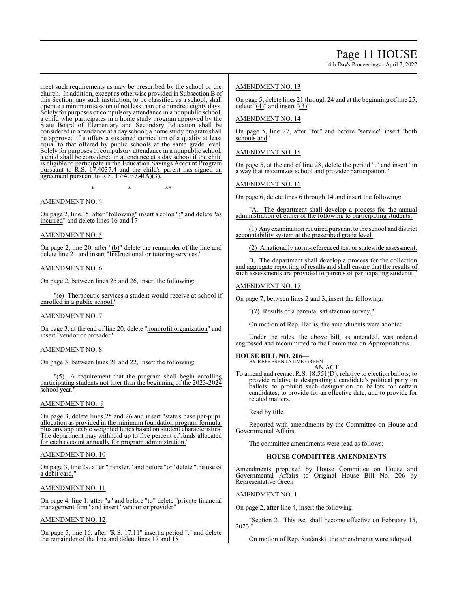14th Day's Proceedings - April 7, 2022

meet such requirements as may be prescribed by the school or the church. In addition, except as otherwise provided in Subsection B of this Section, any such institution, to be classified as a school, shall operate a minimum session of not less than one hundred eighty days. Solely for purposes of compulsory attendance in a nonpublic school, a child who participates in a home study program approved by the State Board of Elementary and Secondary Education shall be considered in attendance at a day school; a home study program shall be approved if it offers a sustained curriculum of a quality at least equal to that offered by public schools at the same grade level. Solely for purposes of compulsory attendance in a nonpublic school, a child shall be considered in attendance at a day school if the child is eligible to participate in the Education Savings Account Program pursuant to R.S. 17:4037.4 and the child's parent has signed an agreement pursuant to R.S.  $17:4037.4(A)(3)$ .

 $*$  \*  $*$  \*

# AMENDMENT NO. 4

On page 2, line 15, after "following" insert a colon ":" and delete "as incurred" and delete lines 16 and 17

# AMENDMENT NO. 5

On page 2, line 20, after "(b)" delete the remainder of the line and delete line 21 and insert "Instructional or tutoring services."

# AMENDMENT NO. 6

On page 2, between lines 25 and 26, insert the following:

"(e) Therapeutic services a student would receive at school if enrolled in a public school."

# AMENDMENT NO. 7

On page 3, at the end of line 20, delete "nonprofit organization" and insert "vendor or provider"

# AMENDMENT NO. 8

On page 3, between lines 21 and 22, insert the following:

"(5) A requirement that the program shall begin enrolling participating students not later than the beginning of the 2023-2024 school year."

#### AMENDMENT NO. 9

On page 3, delete lines 25 and 26 and insert "state's base per-pupil allocation as provided in the minimum foundation program formula, plus any applicable weighted funds based on student characteristics. The department may withhold up to five percent of funds allocated for each account annually for program administration."

# AMENDMENT NO. 10

On page 3, line 29, after "transfer," and before "or" delete "the use of a debit card,"

#### AMENDMENT NO. 11

On page 4, line 1, after "a" and before "to" delete "private financial management firm" and insert "vendor or provider"

# AMENDMENT NO. 12

On page 5, line 16, after "R.S. 17:11" insert a period "." and delete the remainder of the line and delete lines 17 and 18

# AMENDMENT NO. 13

On page 5, delete lines 21 through 24 and at the beginning of line 25, delete  $"$ (4)" and insert "(3)"

# AMENDMENT NO. 14

On page 5, line 27, after "for" and before "service" insert "both schools and"

# AMENDMENT NO. 15

On page 5, at the end of line 28, delete the period "." and insert "in a way that maximizes school and provider participation."

# AMENDMENT NO. 16

On page 6, delete lines 6 through 14 and insert the following:

The department shall develop a process for the annual administration of either of the following to participating students:

(1) Any examination required pursuant to the school and district accountability system at the prescribed grade level.

(2) A nationally norm-referenced test or statewide assessment.

B. The department shall develop a process for the collection and aggregate reporting of results and shall ensure that the results of such assessments are provided to parents of participating students.

#### AMENDMENT NO. 17

On page 7, between lines 2 and 3, insert the following:

"(7) Results of a parental satisfaction survey."

On motion of Rep. Harris, the amendments were adopted.

Under the rules, the above bill, as amended, was ordered engrossed and recommitted to the Committee on Appropriations.

# **HOUSE BILL NO. 206—** BY REPRESENTATIVE GREEN

AN ACT

To amend and reenact R.S. 18:551(D), relative to election ballots; to provide relative to designating a candidate's political party on ballots; to prohibit such designation on ballots for certain candidates; to provide for an effective date; and to provide for related matters.

Read by title.

Reported with amendments by the Committee on House and Governmental Affairs.

The committee amendments were read as follows:

# **HOUSE COMMITTEE AMENDMENTS**

Amendments proposed by House Committee on House and Governmental Affairs to Original House Bill No. 206 by Representative Green

#### AMENDMENT NO. 1

On page 2, after line 4, insert the following:

"Section 2. This Act shall become effective on February 15, 2023."

On motion of Rep. Stefanski, the amendments were adopted.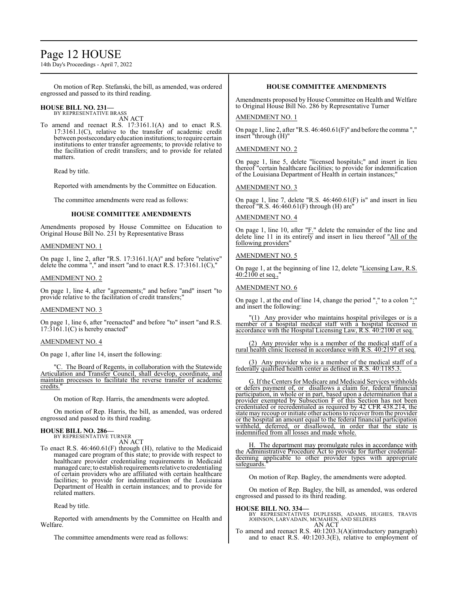# Page 12 HOUSE

14th Day's Proceedings - April 7, 2022

On motion of Rep. Stefanski, the bill, as amended, was ordered engrossed and passed to its third reading.

# **HOUSE BILL NO. 231—** BY REPRESENTATIVE BRASS

AN ACT

To amend and reenact R.S. 17:3161.1(A) and to enact R.S. 17:3161.1(C), relative to the transfer of academic credit between postsecondary education institutions; to require certain institutions to enter transfer agreements; to provide relative to the facilitation of credit transfers; and to provide for related matters.

Read by title.

Reported with amendments by the Committee on Education.

The committee amendments were read as follows:

# **HOUSE COMMITTEE AMENDMENTS**

Amendments proposed by House Committee on Education to Original House Bill No. 231 by Representative Brass

# AMENDMENT NO. 1

On page 1, line 2, after "R.S. 17:3161.1(A)" and before "relative" delete the comma "," and insert "and to enact R.S. 17:3161.1(C),"

# AMENDMENT NO. 2

On page 1, line 4, after "agreements;" and before "and" insert "to provide relative to the facilitation of credit transfers;"

#### AMENDMENT NO. 3

On page 1, line 6, after "reenacted" and before "to" insert "and R.S.  $17:3161.1(C)$  is hereby enacted"

# AMENDMENT NO. 4

On page 1, after line 14, insert the following:

"C. The Board of Regents, in collaboration with the Statewide Articulation and Transfer Council, shall develop, coordinate, and maintain processes to facilitate the reverse transfer of academic credits.

On motion of Rep. Harris, the amendments were adopted.

On motion of Rep. Harris, the bill, as amended, was ordered engrossed and passed to its third reading.

#### **HOUSE BILL NO. 286—** BY REPRESENTATIVE TURNER

AN ACT

To enact R.S. 46:460.61(F) through (H), relative to the Medicaid managed care program of this state; to provide with respect to healthcare provider credentialing requirements in Medicaid managed care; to establish requirements relative to credentialing of certain providers who are affiliated with certain healthcare facilities; to provide for indemnification of the Louisiana Department of Health in certain instances; and to provide for related matters.

Read by title.

Reported with amendments by the Committee on Health and Welfare.

The committee amendments were read as follows:

# **HOUSE COMMITTEE AMENDMENTS**

Amendments proposed by House Committee on Health and Welfare to Original House Bill No. 286 by Representative Turner

# AMENDMENT NO. 1

On page 1, line 2, after "R.S. 46:460.61(F)" and before the comma "," insert "through (H)"

# AMENDMENT NO. 2

On page 1, line 5, delete "licensed hospitals;" and insert in lieu thereof "certain healthcare facilities; to provide for indemnification of the Louisiana Department of Health in certain instances;"

# AMENDMENT NO. 3

On page 1, line 7, delete "R.S. 46:460.61(F) is" and insert in lieu thereof "R.S.  $46:460.61(F)$  through (H) are"

# AMENDMENT NO. 4

On page 1, line 10, after " $E$ ." delete the remainder of the line and delete line 11 in its entirety and insert in lieu thereof "All of the following providers"

AMENDMENT NO. 5

On page 1, at the beginning of line 12, delete "Licensing Law, R.S.  $40:2100$  et seq.,"

# AMENDMENT NO. 6

On page 1, at the end of line 14, change the period "." to a colon ":" and insert the following:

"(1) Any provider who maintains hospital privileges or is a member of a hospital medical staff with a hospital licensed in accordance with the Hospital Licensing Law, R.S. 40:2100 et seq.

Any provider who is a member of the medical staff of a rural health clinic licensed in accordance with R.S. 40:2197 et seq.

(3) Any provider who is a member of the medical staff of a federally qualified health center as defined in R.S. 40:1185.3.

G. Ifthe Centers for Medicare and Medicaid Services withholds or defers payment of, or disallows a claim for, federal financial participation, in whole or in part, based upon a determination that a provider exempted by Subsection F of this Section has not been credentialed or recredentialed as required by 42 CFR 438.214, the state may recoup or initiate other actions to recover fromthe provider or the hospital an amount equal to the federal financial participation withheld, deferred, or disallowed, in order that the state is indemnified from all losses and made whole.

H. The department may promulgate rules in accordance with the Administrative Procedure Act to provide for further credentialdeeming applicable to other provider types with appropriate safeguards."

On motion of Rep. Bagley, the amendments were adopted.

On motion of Rep. Bagley, the bill, as amended, was ordered engrossed and passed to its third reading.

### **HOUSE BILL NO. 334—**

BY REPRESENTATIVES DUPLESSIS, ADAMS, HUGHES, TRAVIS JOHNSON, LARVADAIN, MCMAHEN, AND SELDERS AN ACT

To amend and reenact R.S. 40:1203.3(A)(introductory paragraph) and to enact R.S. 40:1203.3(E), relative to employment of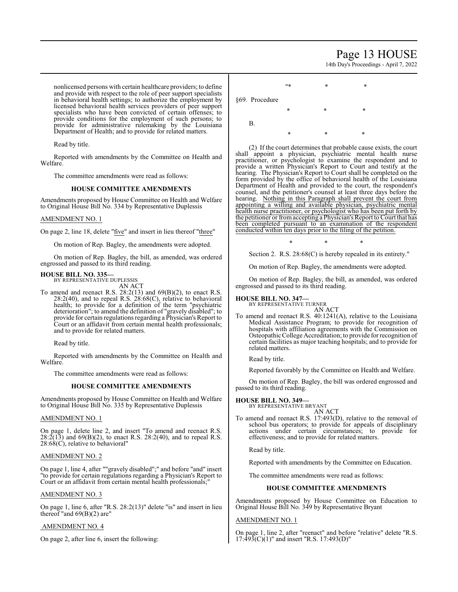# Page 13 HOUSE

14th Day's Proceedings - April 7, 2022

nonlicensed persons with certain healthcare providers; to define and provide with respect to the role of peer support specialists in behavioral health settings; to authorize the employment by licensed behavioral health services providers of peer support specialists who have been convicted of certain offenses; to provide conditions for the employment of such persons; to provide for administrative rulemaking by the Louisiana Department of Health; and to provide for related matters.

Read by title.

Reported with amendments by the Committee on Health and Welfare.

The committee amendments were read as follows:

#### **HOUSE COMMITTEE AMENDMENTS**

Amendments proposed by House Committee on Health and Welfare to Original House Bill No. 334 by Representative Duplessis

#### AMENDMENT NO. 1

On page 2, line 18, delete "five" and insert in lieu thereof "three"

On motion of Rep. Bagley, the amendments were adopted.

On motion of Rep. Bagley, the bill, as amended, was ordered engrossed and passed to its third reading.

**HOUSE BILL NO. 335—**

BY REPRESENTATIVE DUPLESSIS AN ACT

To amend and reenact R.S.  $28:2(13)$  and  $69(B)(2)$ , to enact R.S.  $28:2(40)$ , and to repeal R.S.  $28:68(C)$ , relative to behavioral health; to provide for a definition of the term "psychiatric deterioration"; to amend the definition of "gravely disabled"; to provide for certain regulations regarding a Physician's Report to Court or an affidavit from certain mental health professionals; and to provide for related matters.

Read by title.

Reported with amendments by the Committee on Health and Welfare.

The committee amendments were read as follows:

#### **HOUSE COMMITTEE AMENDMENTS**

Amendments proposed by House Committee on Health and Welfare to Original House Bill No. 335 by Representative Duplessis

# AMENDMENT NO. 1

On page 1, delete line 2, and insert "To amend and reenact R.S.  $28:\overline{2}(13)$  and  $69(B)(2)$ , to enact R.S.  $28:2(40)$ , and to repeal R.S.  $28:68(\text{C})$ , relative to behavioral"

#### AMENDMENT NO. 2

On page 1, line 4, after ""gravely disabled";" and before "and" insert "to provide for certain regulations regarding a Physician's Report to Court or an affidavit from certain mental health professionals;

#### AMENDMENT NO. 3

On page 1, line 6, after "R.S. 28:2(13)" delete "is" and insert in lieu thereof "and  $69(B)(2)$  are"

#### AMENDMENT NO. 4

On page 2, after line 6, insert the following:

\* \* \* \* \* §69. Procedure \* \* \* B. \* \* \*

(2) If the court determines that probable cause exists, the court shall appoint a physician, psychiatric mental health nurse practitioner, or psychologist to examine the respondent and to provide a written Physician's Report to Court and testify at the hearing. The Physician's Report to Court shall be completed on the form provided by the office of behavioral health of the Louisiana Department of Health and provided to the court, the respondent's counsel, and the petitioner's counsel at least three days before the hearing. Nothing in this Paragraph shall prevent the court from appointing a willing and available physician, psychiatric mental health nurse practitioner, or psychologist who has been put forth by the petitioner or fromaccepting a Physician's Report to Court that has been completed pursuant to an examination of the respondent conducted within ten days prior to the filing of the petition.

\* \* \*

Section 2. R.S. 28:68(C) is hereby repealed in its entirety."

On motion of Rep. Bagley, the amendments were adopted.

On motion of Rep. Bagley, the bill, as amended, was ordered engrossed and passed to its third reading.

**HOUSE BILL NO. 347—**

BY REPRESENTATIVE TURNER AN ACT

To amend and reenact R.S. 40:1241(A), relative to the Louisiana Medical Assistance Program; to provide for recognition of hospitals with affiliation agreements with the Commission on OsteopathicCollege Accreditation; to provide for recognition of certain facilities as major teaching hospitals; and to provide for related matters.

Read by title.

Reported favorably by the Committee on Health and Welfare.

On motion of Rep. Bagley, the bill was ordered engrossed and passed to its third reading.

#### **HOUSE BILL NO. 349—**

BY REPRESENTATIVE BRYANT AN ACT

To amend and reenact R.S. 17:493(D), relative to the removal of school bus operators; to provide for appeals of disciplinary actions under certain circumstances; to provide for effectiveness; and to provide for related matters.

Read by title.

Reported with amendments by the Committee on Education.

The committee amendments were read as follows:

### **HOUSE COMMITTEE AMENDMENTS**

Amendments proposed by House Committee on Education to Original House Bill No. 349 by Representative Bryant

#### AMENDMENT NO. 1

On page 1, line 2, after "reenact" and before "relative" delete "R.S. 17:493(C)(1)" and insert "R.S. 17:493(D)"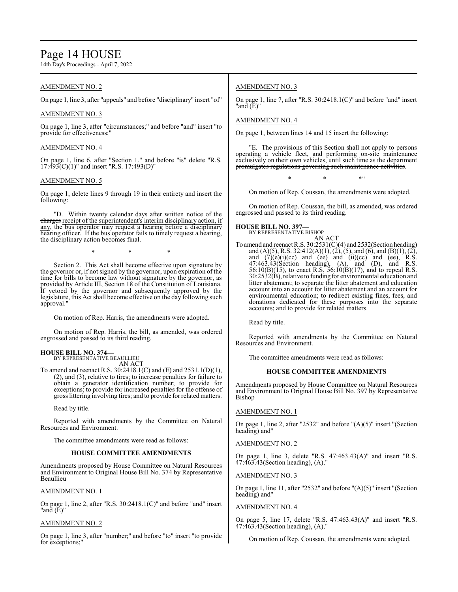# Page 14 HOUSE

14th Day's Proceedings - April 7, 2022

# AMENDMENT NO. 2

On page 1, line 3, after "appeals" and before "disciplinary" insert "of"

# AMENDMENT NO. 3

On page 1, line 3, after "circumstances;" and before "and" insert "to provide for effectiveness;"

### AMENDMENT NO. 4

On page 1, line 6, after "Section 1." and before "is" delete "R.S.  $17:493(C)(1)$ " and insert "R.S. 17:493(D)"

# AMENDMENT NO. 5

On page 1, delete lines 9 through 19 in their entirety and insert the following:

"D. Within twenty calendar days after written notice of the charges receipt of the superintendent's interim disciplinary action, if any, the bus operator may request a hearing before a disciplinary hearing officer. If the bus operator fails to timely request a hearing, the disciplinary action becomes final.

\* \* \*

Section 2. This Act shall become effective upon signature by the governor or, if not signed by the governor, upon expiration of the time for bills to become law without signature by the governor, as provided by Article III, Section 18 of the Constitution of Louisiana. If vetoed by the governor and subsequently approved by the legislature, this Act shall become effective on the day following such approval."

On motion of Rep. Harris, the amendments were adopted.

On motion of Rep. Harris, the bill, as amended, was ordered engrossed and passed to its third reading.

#### **HOUSE BILL NO. 374—** BY REPRESENTATIVE BEAULLIEU

AN ACT

To amend and reenact R.S. 30:2418.1(C) and (E) and 2531.1(D)(1), (2), and (3), relative to tires; to increase penalties for failure to obtain a generator identification number; to provide for exceptions; to provide for increased penalties for the offense of gross littering involving tires; and to provide for related matters.

Read by title.

Reported with amendments by the Committee on Natural Resources and Environment.

The committee amendments were read as follows:

#### **HOUSE COMMITTEE AMENDMENTS**

Amendments proposed by House Committee on Natural Resources and Environment to Original House Bill No. 374 by Representative Beaullieu

#### AMENDMENT NO. 1

On page 1, line 2, after "R.S. 30:2418.1(C)" and before "and" insert "and (E)"

# AMENDMENT NO. 2

On page 1, line 3, after "number;" and before "to" insert "to provide for exceptions;"

# AMENDMENT NO. 3

On page 1, line 7, after "R.S. 30:2418.1(C)" and before "and" insert "and (E)"

AMENDMENT NO. 4

On page 1, between lines 14 and 15 insert the following:

"E. The provisions of this Section shall not apply to persons operating a vehicle fleet, and performing on-site maintenance exclusively on their own vehicles, until such time as the department promulgates regulations governing such maintenance activities.

 $*$  \*  $*$  \*

On motion of Rep. Coussan, the amendments were adopted.

On motion of Rep. Coussan, the bill, as amended, was ordered engrossed and passed to its third reading.

#### **HOUSE BILL NO. 397—** BY REPRESENTATIVE BISHOP

AN ACT

To amend and reenact R.S. 30:2531(C)(4) and 2532(Section heading) and (A)(5), R.S. 32:412(A)(1), (2), (5), and (6), and (B)(1), (2), and  $(7)(e)(i)(ce)$  and  $(ee)$  and  $(ii)(ce)$  and  $(ee)$ , R.S. 47:463.43(Section heading), (A), and (D), and R.S. 56:10(B)(15), to enact R.S. 56:10(B)(17), and to repeal R.S. 30:2532(B), relative to funding for environmental education and litter abatement; to separate the litter abatement and education account into an account for litter abatement and an account for environmental education; to redirect existing fines, fees, and donations dedicated for these purposes into the separate accounts; and to provide for related matters.

Read by title.

Reported with amendments by the Committee on Natural Resources and Environment.

The committee amendments were read as follows:

#### **HOUSE COMMITTEE AMENDMENTS**

Amendments proposed by House Committee on Natural Resources and Environment to Original House Bill No. 397 by Representative Bishop

# AMENDMENT NO. 1

On page 1, line 2, after "2532" and before "(A)(5)" insert "(Section heading) and"

# AMENDMENT NO. 2

On page 1, line 3, delete "R.S. 47:463.43(A)" and insert "R.S. 47:463.43(Section heading), (A),"

# AMENDMENT NO. 3

On page 1, line 11, after "2532" and before "(A)(5)" insert "(Section heading) and"

### AMENDMENT NO. 4

On page 5, line 17, delete "R.S. 47:463.43(A)" and insert "R.S. 47:463.43(Section heading), (A),"

On motion of Rep. Coussan, the amendments were adopted.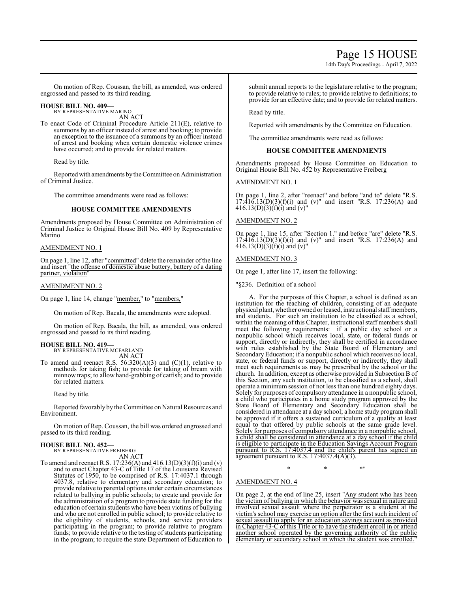14th Day's Proceedings - April 7, 2022

On motion of Rep. Coussan, the bill, as amended, was ordered engrossed and passed to its third reading.

#### **HOUSE BILL NO. 409—** BY REPRESENTATIVE MARINO

AN ACT

To enact Code of Criminal Procedure Article 211(E), relative to summons by an officer instead of arrest and booking; to provide an exception to the issuance of a summons by an officer instead of arrest and booking when certain domestic violence crimes have occurred; and to provide for related matters.

Read by title.

Reported with amendments by the Committee on Administration of Criminal Justice.

The committee amendments were read as follows:

# **HOUSE COMMITTEE AMENDMENTS**

Amendments proposed by House Committee on Administration of Criminal Justice to Original House Bill No. 409 by Representative Marino

# AMENDMENT NO. 1

On page 1, line 12, after "committed" delete the remainder of the line and insert "the offense of domestic abuse battery, battery of a dating partner, violation

#### AMENDMENT NO. 2

On page 1, line 14, change "member," to "members,"

On motion of Rep. Bacala, the amendments were adopted.

On motion of Rep. Bacala, the bill, as amended, was ordered engrossed and passed to its third reading.

#### **HOUSE BILL NO. 419—** BY REPRESENTATIVE MCFARLAND

AN ACT

To amend and reenact R.S.  $56:320(A)(3)$  and  $(C)(1)$ , relative to methods for taking fish; to provide for taking of bream with minnow traps; to allow hand-grabbing of catfish; and to provide for related matters.

Read by title.

Reported favorably by the Committee on Natural Resources and Environment.

On motion of Rep. Coussan, the bill was ordered engrossed and passed to its third reading.

# **HOUSE BILL NO. 452—**

BY REPRESENTATIVE FREIBERG AN ACT

To amend and reenact R.S. 17:236(A) and 416.13(D)(3)(f)(i) and (v) and to enact Chapter 43-C of Title 17 of the Louisiana Revised Statutes of 1950, to be comprised of R.S. 17:4037.1 through 4037.8, relative to elementary and secondary education; to provide relative to parental options under certain circumstances related to bullying in public schools; to create and provide for the administration of a program to provide state funding for the education of certain students who have been victims of bullying and who are not enrolled in public school; to provide relative to the eligibility of students, schools, and service providers participating in the program; to provide relative to program funds; to provide relative to the testing of students participating in the program; to require the state Department of Education to submit annual reports to the legislature relative to the program; to provide relative to rules; to provide relative to definitions; to provide for an effective date; and to provide for related matters.

Read by title.

Reported with amendments by the Committee on Education.

The committee amendments were read as follows:

# **HOUSE COMMITTEE AMENDMENTS**

Amendments proposed by House Committee on Education to Original House Bill No. 452 by Representative Freiberg

# AMENDMENT NO. 1

On page 1, line 2, after "reenact" and before "and to" delete "R.S.  $17:\hat{4}16.13(D)(3)(f)(i)$  and (v)" and insert "R.S. 17:236(A) and 416.13(D)(3)(f)(i) and (v)"

# AMENDMENT NO. 2

On page 1, line 15, after "Section 1." and before "are" delete "R.S. 17:416.13(D)(3)(f)(i) and (v)" and insert "R.S. 17:236(A) and 416.13(D)(3)(f)(i) and (v)"

# AMENDMENT NO. 3

On page 1, after line 17, insert the following:

"§236. Definition of a school

A. For the purposes of this Chapter, a school is defined as an institution for the teaching of children, consisting of an adequate physical plant, whether owned or leased, instructional staff members, and students. For such an institution to be classified as a school, within the meaning of this Chapter, instructional staff members shall meet the following requirements: if a public day school or a nonpublic school which receives local, state, or federal funds or support, directly or indirectly, they shall be certified in accordance with rules established by the State Board of Elementary and Secondary Education; if a nonpublic school which receives no local, state, or federal funds or support, directly or indirectly, they shall meet such requirements as may be prescribed by the school or the church. In addition, except as otherwise provided in Subsection B of this Section, any such institution, to be classified as a school, shall operate a minimum session of not less than one hundred eighty days. Solely for purposes of compulsory attendance in a nonpublic school, a child who participates in a home study program approved by the State Board of Elementary and Secondary Education shall be considered in attendance at a day school; a home study program shall be approved if it offers a sustained curriculum of a quality at least equal to that offered by public schools at the same grade level. Solely for purposes of compulsory attendance in a nonpublic school, a child shall be considered in attendance at a day school if the child is eligible to participate in the Education Savings Account Program pursuant to R.S. 17:4037.4 and the child's parent has signed an agreement pursuant to R.S.  $17:4037.4(A)(3)$ .

 $*$  \*  $*$  \*

# AMENDMENT NO. 4

On page 2, at the end of line 25, insert "Any student who has been the victim of bullying in which the behavior was sexual in nature and involved sexual assault where the perpetrator is a student at the victim's school may exercise an option after the first such incident of sexual assault to apply for an education savings account as provided in Chapter 43-C of this Title or to have the student enroll in or attend another school operated by the governing authority of the public elementary or secondary school in which the student was enrolled.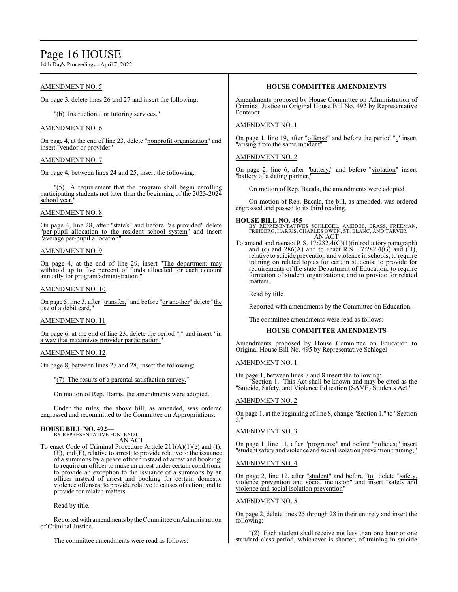# Page 16 HOUSE

14th Day's Proceedings - April 7, 2022

# AMENDMENT NO. 5

On page 3, delete lines 26 and 27 and insert the following:

"(b) Instructional or tutoring services."

# AMENDMENT NO. 6

On page 4, at the end of line 23, delete "nonprofit organization" and insert "vendor or provider"

# AMENDMENT NO. 7

On page 4, between lines 24 and 25, insert the following:

A requirement that the program shall begin enrolling participating students not later than the beginning of the 2023-2024 school year.

# AMENDMENT NO. 8

On page 4, line 28, after "state's" and before "as provided" delete "per-pupil allocation to the resident school system" and insert "average per-pupil allocation"

# AMENDMENT NO. 9

On page 4, at the end of line 29, insert "The department may withhold up to five percent of funds allocated for each account annually for program administration.

# AMENDMENT NO. 10

On page 5, line 3, after "transfer," and before "or another" delete "the use of a debit card,"

# AMENDMENT NO. 11

On page 6, at the end of line 23, delete the period "." and insert "in a way that maximizes provider participation.

# AMENDMENT NO. 12

On page 8, between lines 27 and 28, insert the following:

"(7) The results of a parental satisfaction survey."

On motion of Rep. Harris, the amendments were adopted.

Under the rules, the above bill, as amended, was ordered engrossed and recommitted to the Committee on Appropriations.

# **HOUSE BILL NO. 492—**

BY REPRESENTATIVE FONTENOT AN ACT

To enact Code of Criminal Procedure Article 211(A)(1)(e) and (f), (E), and (F), relative to arrest; to provide relative to the issuance of a summons by a peace officer instead of arrest and booking; to require an officer to make an arrest under certain conditions; to provide an exception to the issuance of a summons by an officer instead of arrest and booking for certain domestic violence offenses; to provide relative to causes of action; and to provide for related matters.

Read by title.

Reported with amendments bytheCommittee on Administration of Criminal Justice.

The committee amendments were read as follows:

# **HOUSE COMMITTEE AMENDMENTS**

Amendments proposed by House Committee on Administration of Criminal Justice to Original House Bill No. 492 by Representative Fontenot

# AMENDMENT NO. 1

On page 1, line 19, after "offense" and before the period "." insert "arising from the same incident"

# AMENDMENT NO. 2

On page 2, line 6, after "battery," and before "violation" insert "battery of a dating partner,"

On motion of Rep. Bacala, the amendments were adopted.

On motion of Rep. Bacala, the bill, as amended, was ordered engrossed and passed to its third reading.

# **HOUSE BILL NO. 495—**

BY REPRESENTATIVES SCHLEGEL, AMEDEE, BRASS, FREEMAN, FREIBERG, HARRIS, CHARLES OWEN, ST. BLANC, AND TARVER AN ACT

To amend and reenact R.S. 17:282.4(C)(1)(introductory paragraph) and (c) and  $286(A)$  and to enact R.S. 17:282.4(G) and (H), relative to suicide prevention and violence in schools; to require training on related topics for certain students; to provide for requirements of the state Department of Education; to require formation of student organizations; and to provide for related matters.

Read by title.

Reported with amendments by the Committee on Education.

The committee amendments were read as follows:

# **HOUSE COMMITTEE AMENDMENTS**

Amendments proposed by House Committee on Education to Original House Bill No. 495 by Representative Schlegel

# AMENDMENT NO. 1

On page 1, between lines 7 and 8 insert the following: "Section 1. This Act shall be known and may be cited as the "Suicide, Safety, and Violence Education (SAVE) Students Act."

# AMENDMENT NO. 2

On page 1, at the beginning of line 8, change "Section 1." to "Section 2."

# AMENDMENT NO. 3

On page 1, line 11, after "programs;" and before "policies;" insert 'student safety and violence and social isolation prevention training;

# AMENDMENT NO. 4

On page 2, line 12, after "student" and before "to" delete "safety, violence prevention and social inclusion" and insert "safety and violence and social isolation prevention"

# AMENDMENT NO. 5

On page 2, delete lines 25 through 28 in their entirety and insert the following:

"(2) Each student shall receive not less than one hour or one standard class period, whichever is shorter, of training in suicide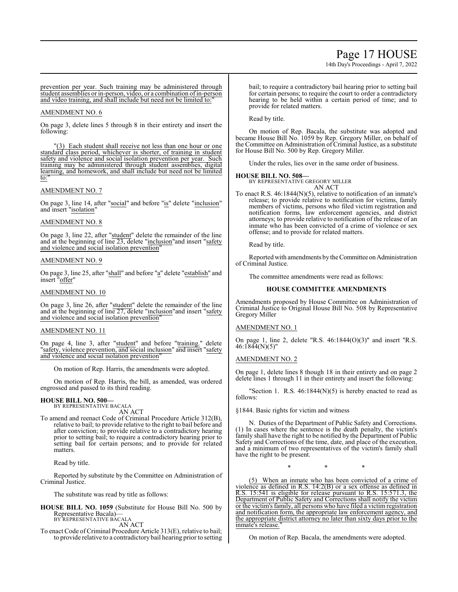# Page 17 HOUSE

14th Day's Proceedings - April 7, 2022

prevention per year. Such training may be administered through student assemblies or in-person, video, or a combination of in-person and video training, and shall include but need not be limited to:"

### AMENDMENT NO. 6

On page 3, delete lines 5 through 8 in their entirety and insert the following:

"(3) Each student shall receive not less than one hour or one standard class period, whichever is shorter, of training in student safety and violence and social isolation prevention per year. Such training may be administered through student assemblies, digital learning, and homework, and shall include but need not be limited to:

# AMENDMENT NO. 7

On page 3, line 14, after "social" and before "is" delete "inclusion" and insert "isolation"

# AMENDMENT NO. 8

On page 3, line 22, after "student" delete the remainder of the line and at the beginning of line 23, delete "inclusion" and insert "safety and violence and social isolation prevention"

# AMENDMENT NO. 9

On page 3, line 25, after "shall" and before "a" delete "establish" and insert "offer"

# AMENDMENT NO. 10

On page 3, line 26, after "student" delete the remainder of the line and at the beginning of line 27, delete "inclusion" and insert "safety and violence and social isolation prevention"

# AMENDMENT NO. 11

On page 4, line 3, after "student" and before "training." delete "safety, violence prevention, and social inclusion" and insert "safety and violence and social isolation prevention"

On motion of Rep. Harris, the amendments were adopted.

On motion of Rep. Harris, the bill, as amended, was ordered engrossed and passed to its third reading.

#### **HOUSE BILL NO. 500—** BY REPRESENTATIVE BACALA

AN ACT

To amend and reenact Code of Criminal Procedure Article 312(B), relative to bail; to provide relative to the right to bail before and after conviction; to provide relative to a contradictory hearing prior to setting bail; to require a contradictory hearing prior to setting bail for certain persons; and to provide for related matters.

Read by title.

Reported by substitute by the Committee on Administration of Criminal Justice.

The substitute was read by title as follows:

**HOUSE BILL NO. 1059** (Substitute for House Bill No. 500 by Representative Bacala)— BY REPRESENTATIVE BACALA

AN ACT

To enact Code of Criminal Procedure Article 313(E), relative to bail; to provide relative to a contradictory bail hearing prior to setting bail; to require a contradictory bail hearing prior to setting bail for certain persons; to require the court to order a contradictory hearing to be held within a certain period of time; and to provide for related matters.

Read by title.

On motion of Rep. Bacala, the substitute was adopted and became House Bill No. 1059 by Rep. Gregory Miller, on behalf of the Committee on Administration of Criminal Justice, as a substitute for House Bill No. 500 by Rep. Gregory Miller.

Under the rules, lies over in the same order of business.

#### **HOUSE BILL NO. 508—**

BY REPRESENTATIVE GREGORY MILLER AN ACT

To enact R.S. 46:1844(N)(5), relative to notification of an inmate's release; to provide relative to notification for victims, family members of victims, persons who filed victim registration and notification forms, law enforcement agencies, and district attorneys; to provide relative to notification of the release of an inmate who has been convicted of a crime of violence or sex offense; and to provide for related matters.

Read by title.

Reported with amendments by the Committee on Administration of Criminal Justice.

The committee amendments were read as follows:

# **HOUSE COMMITTEE AMENDMENTS**

Amendments proposed by House Committee on Administration of Criminal Justice to Original House Bill No. 508 by Representative Gregory Miller

# AMENDMENT NO. 1

On page 1, line 2, delete "R.S. 46:1844(O)(3)" and insert "R.S. 46:1844(N)(5)"

# AMENDMENT NO. 2

On page 1, delete lines 8 though 18 in their entirety and on page 2 delete lines 1 through 11 in their entirety and insert the following:

"Section 1. R.S. 46:1844(N)(5) is hereby enacted to read as follows:

§1844. Basic rights for victim and witness

N. Duties of the Department of Public Safety and Corrections. (1) In cases where the sentence is the death penalty, the victim's family shall have the right to be notified by the Department of Public Safety and Corrections of the time, date, and place of the execution, and a minimum of two representatives of the victim's family shall have the right to be present.

\* \* \*

(5) When an inmate who has been convicted of a crime of violence as defined in R.S. 14:2(B) or a sex offense as defined in R.S. 15:541 is eligible for release pursuant to R.S. 15:571.3, the Department of Public Safety and Corrections shall notify the victim or the victim's family, all persons who have filed a victim registration and notification form, the appropriate law enforcement agency, and the appropriate district attorney no later than sixty days prior to the inmate's release.

On motion of Rep. Bacala, the amendments were adopted.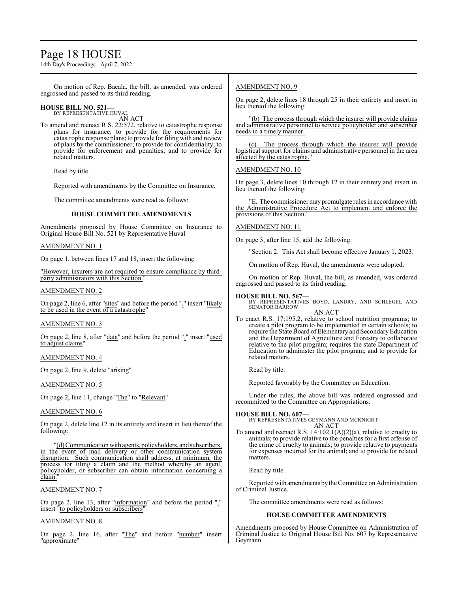# Page 18 HOUSE

14th Day's Proceedings - April 7, 2022

On motion of Rep. Bacala, the bill, as amended, was ordered engrossed and passed to its third reading.

#### **HOUSE BILL NO. 521—** BY REPRESENTATIVE HUVAL

AN ACT

To amend and reenact R.S. 22:572, relative to catastrophe response plans for insurance; to provide for the requirements for catastrophe response plans; to provide for filing with and review of plans by the commissioner; to provide for confidentiality; to provide for enforcement and penalties; and to provide for related matters.

Read by title.

Reported with amendments by the Committee on Insurance.

The committee amendments were read as follows:

# **HOUSE COMMITTEE AMENDMENTS**

Amendments proposed by House Committee on Insurance to Original House Bill No. 521 by Representative Huval

# AMENDMENT NO. 1

On page 1, between lines 17 and 18, insert the following:

"However, insurers are not required to ensure compliance by thirdparty administrators with this Section."

# AMENDMENT NO. 2

On page 2, line 6, after "sites" and before the period "." insert "likely to be used in the event of a catastrophe"

# AMENDMENT NO. 3

On page 2, line 8, after "data" and before the period "." insert "used to adjust claims'

# AMENDMENT NO. 4

On page 2, line 9, delete "arising"

# AMENDMENT NO. 5

On page 2, line 11, change "The" to "Relevant"

# AMENDMENT NO. 6

On page 2, delete line 12 in its entirety and insert in lieu thereof the following:

"(d) Communication with agents, policyholders, and subscribers, in the event of mail delivery or other communication system disruption. Such communication shall address, at minimum, the process for filing a claim and the method whereby an agent, policyholder, or subscriber can obtain information concerning a claim.

# AMENDMENT NO. 7

On page 2, line 13, after "information" and before the period "." insert "to policyholders or subscribers"

# AMENDMENT NO. 8

On page 2, line 16, after "The" and before "number" insert "approximate"

# AMENDMENT NO. 9

On page 2, delete lines 18 through 25 in their entirety and insert in lieu thereof the following:

(b) The process through which the insurer will provide claims and administrative personnel to service policyholder and subscriber needs in a timely manner.

The process through which the insurer will provide logistical support for claims and administrative personnel in the area affected by the catastrophe.

# AMENDMENT NO. 10

On page 3, delete lines 10 through 12 in their entirety and insert in lieu thereof the following:

"E. The commissioner maypromulgate rules in accordance with the Administrative Procedure Act to implement and enforce the provisions of this Section."

# AMENDMENT NO. 11

On page 3, after line 15, add the following:

"Section 2. This Act shall become effective January 1, 2023.

On motion of Rep. Huval, the amendments were adopted.

On motion of Rep. Huval, the bill, as amended, was ordered engrossed and passed to its third reading.

#### **HOUSE BILL NO. 567—** BY REPRESENTATIVES BOYD, LANDRY, AND SCHLEGEL AND SENATOR BARROW

AN ACT To enact R.S. 17:195.2, relative to school nutrition programs; to create a pilot program to be implemented in certain schools; to require the State Board of Elementary and Secondary Education and the Department of Agriculture and Forestry to collaborate relative to the pilot program; requires the state Department of

Education to administer the pilot program; and to provide for

related matters. Read by title.

Reported favorably by the Committee on Education.

Under the rules, the above bill was ordered engrossed and recommitted to the Committee on Appropriations.

# **HOUSE BILL NO. 607—**

BY REPRESENTATIVES GEYMANN AND MCKNIGHT AN ACT

To amend and reenact R.S. 14:102.1(A)(2)(a), relative to cruelty to animals; to provide relative to the penalties for a first offense of the crime of cruelty to animals; to provide relative to payments for expenses incurred for the animal; and to provide for related matters.

Read by title.

Reported with amendments bythe Committee on Administration of Criminal Justice.

The committee amendments were read as follows:

# **HOUSE COMMITTEE AMENDMENTS**

Amendments proposed by House Committee on Administration of Criminal Justice to Original House Bill No. 607 by Representative Geymann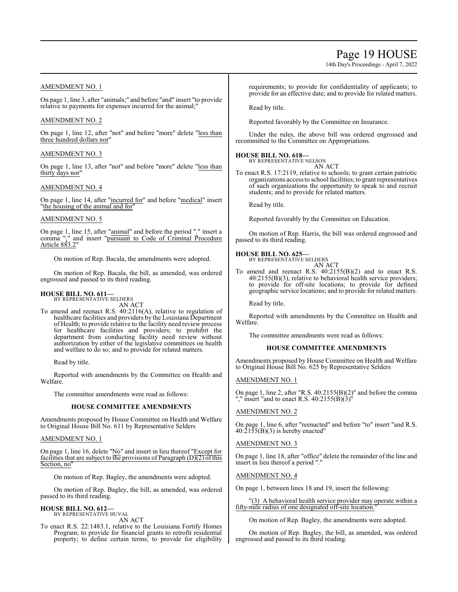# Page 19 HOUSE

14th Day's Proceedings - April 7, 2022

# AMENDMENT NO. 1

On page 1, line 3, after "animals;" and before "and" insert "to provide relative to payments for expenses incurred for the animal;

# AMENDMENT NO. 2

On page 1, line 12, after "not" and before "more" delete "less than three hundred dollars nor"

# AMENDMENT NO. 3

On page 1, line 13, after "not" and before "more" delete "less than thirty days nor"

# AMENDMENT NO. 4

On page 1, line 14, after "incurred for" and before "medical" insert "the housing of the animal and for"

# AMENDMENT NO. 5

On page 1, line 15, after "animal" and before the period "." insert a comma "," and insert "pursuant to Code of Criminal Procedure Article 883.2"

On motion of Rep. Bacala, the amendments were adopted.

On motion of Rep. Bacala, the bill, as amended, was ordered engrossed and passed to its third reading.

# **HOUSE BILL NO. 611—**

BY REPRESENTATIVE SELDERS AN ACT

To amend and reenact R.S. 40:2116(A), relative to regulation of healthcare facilities and providers by the Louisiana Department of Health; to provide relative to the facility need review process for healthcare facilities and providers; to prohibit the department from conducting facility need review without authorization by either of the legislative committees on health and welfare to do so; and to provide for related matters.

Read by title.

Reported with amendments by the Committee on Health and Welfare.

The committee amendments were read as follows:

# **HOUSE COMMITTEE AMENDMENTS**

Amendments proposed by House Committee on Health and Welfare to Original House Bill No. 611 by Representative Selders

# AMENDMENT NO. 1

On page 1, line 16, delete "No" and insert in lieu thereof "Except for facilities that are subject to the provisions of Paragraph  $(D)(2)$  of this Section, no"

On motion of Rep. Bagley, the amendments were adopted.

On motion of Rep. Bagley, the bill, as amended, was ordered passed to its third reading.

#### **HOUSE BILL NO. 612—** BY REPRESENTATIVE HUVAL

AN ACT

To enact R.S. 22:1483.1, relative to the Louisiana Fortify Homes Program; to provide for financial grants to retrofit residential property; to define certain terms; to provide for eligibility requirements; to provide for confidentiality of applicants; to provide for an effective date; and to provide for related matters.

Read by title.

Reported favorably by the Committee on Insurance.

Under the rules, the above bill was ordered engrossed and recommitted to the Committee on Appropriations.

# **HOUSE BILL NO. 618—** BY REPRESENTATIVE NELSON

AN ACT

To enact R.S. 17:2119, relative to schools; to grant certain patriotic organizations access to school facilities; to grant representatives of such organizations the opportunity to speak to and recruit students; and to provide for related matters.

Read by title.

Reported favorably by the Committee on Education.

On motion of Rep. Harris, the bill was ordered engrossed and passed to its third reading.

# **HOUSE BILL NO. 625—**

BY REPRESENTATIVE SELDERS AN ACT

To amend and reenact R.S. 40:2155(B)(2) and to enact R.S. 40:2155(B)(3), relative to behavioral health service providers; to provide for off-site locations; to provide for defined geographic service locations; and to provide for related matters.

Read by title.

Reported with amendments by the Committee on Health and Welfare.

The committee amendments were read as follows:

# **HOUSE COMMITTEE AMENDMENTS**

Amendments proposed by House Committee on Health and Welfare to Original House Bill No. 625 by Representative Selders

# AMENDMENT NO. 1

On page 1, line 2, after "R.S. 40:2155(B)(2)" and before the comma "," insert "and to enact R.S.  $40:2155(\dot{B})(3)^{6}$ "

# AMENDMENT NO. 2

On page 1, line 6, after "reenacted" and before "to" insert "and R.S.  $40:\overline{2155(B)}(3)$  is hereby enacted"

# AMENDMENT NO. 3

On page 1, line 18, after "office" delete the remainder of the line and insert in lieu thereof a period "."

# AMENDMENT NO. 4

On page 1, between lines 18 and 19, insert the following:

|                                                         |  |  |  | "(3) A behavioral health service provider may operate within a |
|---------------------------------------------------------|--|--|--|----------------------------------------------------------------|
| fifty-mile radius of one designated off-site location." |  |  |  |                                                                |

On motion of Rep. Bagley, the amendments were adopted.

On motion of Rep. Bagley, the bill, as amended, was ordered engrossed and passed to its third reading.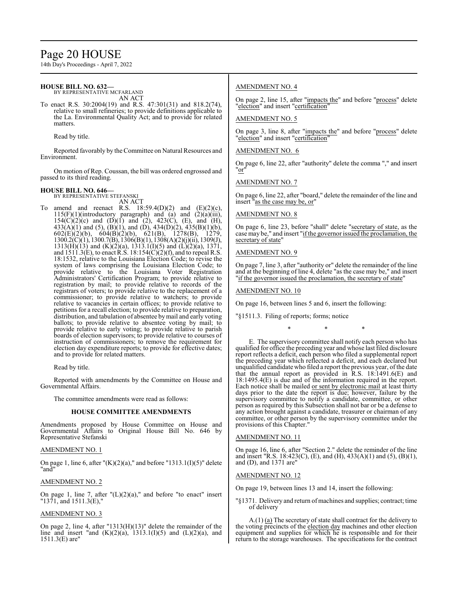# Page 20 HOUSE

14th Day's Proceedings - April 7, 2022

# **HOUSE BILL NO. 632—**

BY REPRESENTATIVE MCFARLAND AN ACT

To enact R.S. 30:2004(19) and R.S. 47:301(31) and 818.2(74), relative to small refineries; to provide definitions applicable to the La. Environmental Quality Act; and to provide for related matters.

Read by title.

Reported favorably by the Committee on Natural Resources and Environment.

On motion of Rep. Coussan, the bill was ordered engrossed and passed to its third reading.

# **HOUSE BILL NO. 646—**

BY REPRESENTATIVE STEFANSKI

AN ACT To amend and reenact R.S.  $18:59.4(D)(2)$  and  $(E)(2)(c)$ , 115(F)(1)(introductory paragraph) and (a) and (2)(a)(iii),  $154(C)(2)(c)$  and  $(D)(1)$  and  $(2)$ ,  $423(C)$ ,  $(E)$ , and  $(H)$ ,  $433(A)(1)$  and (5), (B)(1), and (D),  $434(D)(2)$ ,  $435(B)(1)(b)$ , 602(E)(2)(b), 604(B)(2)(b), 621(B), 1278(B), 1279, 1300.2(C)(1), 1300.7(B), 1306(B)(1), 1308(A)(2)(j)(ii), 1309(J), 1313(H)(13) and (K)(2)(a), 1313.1(I)(5) and (L)(2)(a), 1371, and  $1511.3(E)$ , to enact R.S.  $18:154(\overrightarrow{C})(2)(f)$ , and to repeal R.S. 18:1532, relative to the Louisiana Election Code; to revise the system of laws comprising the Louisiana Election Code; to provide relative to the Louisiana Voter Registration Administrators' Certification Program; to provide relative to registration by mail; to provide relative to records of the registrars of voters; to provide relative to the replacement of a commissioner; to provide relative to watchers; to provide relative to vacancies in certain offices; to provide relative to petitions for a recall election; to provide relative to preparation, distribution, and tabulation of absentee bymail and early voting ballots; to provide relative to absentee voting by mail; to provide relative to early voting; to provide relative to parish boards of election supervisors; to provide relative to courses of instruction of commissioners; to remove the requirement for election day expenditure reports; to provide for effective dates; and to provide for related matters.

Read by title.

Reported with amendments by the Committee on House and Governmental Affairs.

The committee amendments were read as follows:

#### **HOUSE COMMITTEE AMENDMENTS**

Amendments proposed by House Committee on House and Governmental Affairs to Original House Bill No. 646 by Representative Stefanski

#### AMENDMENT NO. 1

On page 1, line 6, after " $(K)(2)(a)$ ," and before "1313.1(I)(5)" delete "and"

### AMENDMENT NO. 2

On page 1, line 7, after  $''(L)(2)(a)$ ," and before "to enact" insert "1371, and 1511.3(E),"

#### AMENDMENT NO. 3

On page 2, line 4, after "1313(H)(13)" delete the remainder of the line and insert "and  $(K)(2)(a)$ ,  $1313.1(I)(5)$  and  $(L)(2)(a)$ , and 1511.3(E) are"

# AMENDMENT NO. 4

On page 2, line 15, after "impacts the" and before "process" delete "election" and insert "certification"

### AMENDMENT NO. 5

On page 3, line 8, after "impacts the" and before "process" delete "election" and insert "certification"

AMENDMENT NO. 6

On page 6, line 22, after "authority" delete the comma "," and insert "or"

AMENDMENT NO. 7

On page 6, line 22, after "board," delete the remainder of the line and insert "as the case may be, or"

# AMENDMENT NO. 8

On page 6, line 23, before "shall" delete "secretary of state, as the case may be," and insert "ifthe governor issued the proclamation, the secretary of state"

#### AMENDMENT NO. 9

On page 7, line 3, after "authority or" delete the remainder of the line and at the beginning of line 4, delete "as the case may be," and insert "if the governor issued the proclamation, the secretary of state"

#### AMENDMENT NO. 10

On page 16, between lines 5 and 6, insert the following:

"§1511.3. Filing of reports; forms; notice

\* \* \*

E. The supervisory committee shall notify each person who has qualified for office the preceding year and whose last filed disclosure report reflects a deficit, each person who filed a supplemental report the preceding year which reflected a deficit, and each declared but unqualified candidate who filed a report the previous year, ofthe date that the annual report as provided in R.S. 18:1491.6(E) and 18:1495.4(E) is due and of the information required in the report. Each notice shall be mailed or sent by electronic mail at least thirty days prior to the date the report is due; however, failure by the supervisory committee to notify a candidate, committee, or other person as required by this Subsection shall not bar or be a defense to any action brought against a candidate, treasurer or chairman of any committee, or other person by the supervisory committee under the provisions of this Chapter."

# AMENDMENT NO. 11

On page 16, line 6, after "Section 2." delete the reminder of the line and insert "R.S. 18:423(C), (E), and (H), 433(A)(1) and (5), (B)(1), and (D), and 1371 are"

#### AMENDMENT NO. 12

On page 19, between lines 13 and 14, insert the following:

"§1371. Delivery and return ofmachines and supplies; contract; time of delivery

 $A(1)$  (a) The secretary of state shall contract for the delivery to the voting precincts of the election day machines and other election equipment and supplies for which he is responsible and for their return to the storage warehouses. The specifications for the contract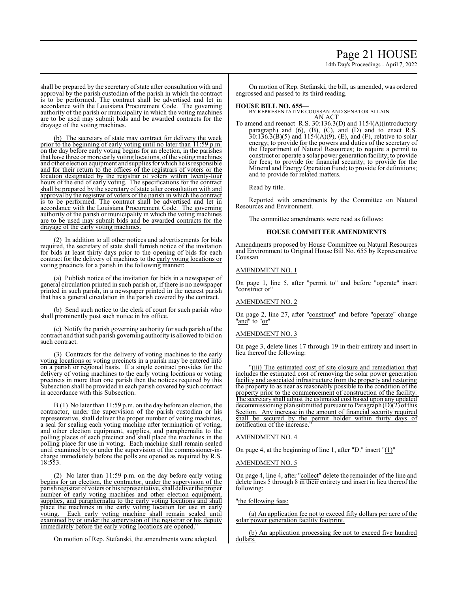# Page 21 HOUSE

14th Day's Proceedings - April 7, 2022

shall be prepared by the secretary of state after consultation with and approval by the parish custodian of the parish in which the contract is to be performed. The contract shall be advertised and let in accordance with the Louisiana Procurement Code. The governing authority of the parish or municipality in which the voting machines are to be used may submit bids and be awarded contracts for the drayage of the voting machines.

The secretary of state may contract for delivery the week prior to the beginning of early voting until no later than 11:59 p.m. on the day before early voting begins for an election, in the parishes that have three or more early voting locations, of the voting machines and other election equipment and supplies for which he is responsible and for their return to the offices of the registrars of voters or the location designated by the registrar of voters within twenty-four hours of the end of early voting. The specifications for the contract shall be prepared by the secretary of state after consultation with and approval by the registrar of voters of the parish in which the contract is to be performed. The contract shall be advertised and let in accordance with the Louisiana Procurement Code. The governing authority of the parish or municipality in which the voting machines are to be used may submit bids and be awarded contracts for the drayage of the early voting machines.

(2) In addition to all other notices and advertisements for bids required, the secretary of state shall furnish notice of the invitation for bids at least thirty days prior to the opening of bids for each contract for the delivery of machines to the early voting locations or voting precincts for a parish in the following manner:

(a) Publish notice of the invitation for bids in a newspaper of general circulation printed in such parish or, if there is no newspaper printed in such parish, in a newspaper printed in the nearest parish that has a general circulation in the parish covered by the contract.

(b) Send such notice to the clerk of court for such parish who shall prominently post such notice in his office.

(c) Notify the parish governing authority for such parish of the contract and that such parish governing authority is allowed to bid on such contract.

(3) Contracts for the delivery of voting machines to the early voting locations or voting precincts in a parish may be entered into on a parish or regional basis. If a single contract provides for the delivery of voting machines to the early voting locations or voting precincts in more than one parish then the notices required by this Subsection shall be provided in each parish covered by such contract in accordance with this Subsection.

B.(1) No later than 11:59 p.m. on the day before an election, the contractor, under the supervision of the parish custodian or his representative, shall deliver the proper number of voting machines, a seal for sealing each voting machine after termination of voting, and other election equipment, supplies, and paraphernalia to the polling places of each precinct and shall place the machines in the polling place for use in voting. Each machine shall remain sealed until examined by or under the supervision of the commissioner-incharge immediately before the polls are opened as required by R.S. 18:553.

(2) No later than 11:59 p.m. on the day before early voting begins for an election, the contractor, under the supervision of the parish registrar of voters or his representative, shall deliver the proper number of early voting machines and other election equipment, supplies, and paraphernalia to the early voting locations and shall place the machines in the early voting location for use in early voting. Each early voting machine shall remain sealed until Each early voting machine shall remain sealed until examined by or under the supervision of the registrar or his deputy immediately before the early voting locations are opened."

On motion of Rep. Stefanski, the amendments were adopted.

On motion of Rep. Stefanski, the bill, as amended, was ordered engrossed and passed to its third reading.

# **HOUSE BILL NO. 655—**

BY REPRESENTATIVE COUSSAN AND SENATOR ALLAIN AN ACT

To amend and reenact R.S. 30:136.3(D) and 1154(A)(introductory paragraph) and (6), (B), (C), and (D) and to enact R.S. 30:136.3(B)(5) and 1154(A)(9), (E), and (F), relative to solar energy; to provide for the powers and duties of the secretary of the Department of Natural Resources; to require a permit to construct or operate a solar power generation facility; to provide for fees; to provide for financial security; to provide for the Mineral and Energy Operation Fund; to provide for definitions; and to provide for related matters.

Read by title.

Reported with amendments by the Committee on Natural Resources and Environment.

The committee amendments were read as follows:

#### **HOUSE COMMITTEE AMENDMENTS**

Amendments proposed by House Committee on Natural Resources and Environment to Original House Bill No. 655 by Representative Coussan

# AMENDMENT NO. 1

On page 1, line 5, after "permit to" and before "operate" insert "construct or"

### AMENDMENT NO. 2

On page 2, line 27, after "construct" and before "operate" change "and" to "or"

#### AMENDMENT NO. 3

On page 3, delete lines 17 through 19 in their entirety and insert in lieu thereof the following:

"(iii) The estimated cost of site closure and remediation that includes the estimated cost of removing the solar power generation facility and associated infrastructure from the property and restoring the property to as near as reasonably possible to the condition of the property prior to the commencement of construction of the facility. The secretary shall adjust the estimated cost based upon any updated decommissioning plan submitted pursuant to Paragraph (D)(2) ofthis Section. Any increase in the amount of financial security required shall be secured by the permit holder within thirty days of notification of the increase."

#### AMENDMENT NO. 4

On page 4, at the beginning of line 1, after "D." insert " $(1)$ "

#### AMENDMENT NO. 5

On page 4, line 4, after "collect" delete the remainder of the line and delete lines 5 through 8 in their entirety and insert in lieu thereof the following:

#### 'the following fees:

(a) An application fee not to exceed fifty dollars per acre of the solar power generation facility footprint.

(b) An application processing fee not to exceed five hundred dollars.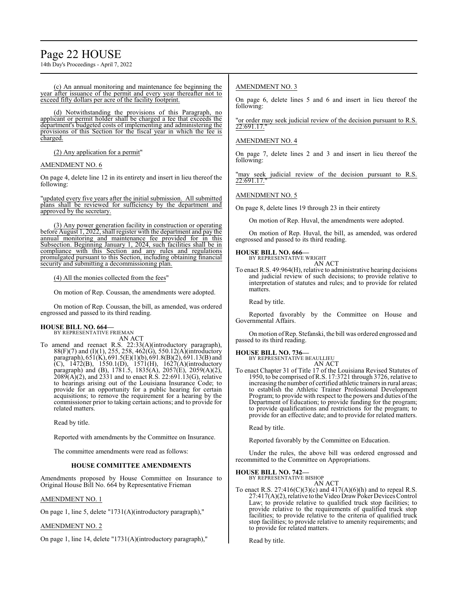# Page 22 HOUSE

14th Day's Proceedings - April 7, 2022

(c) An annual monitoring and maintenance fee beginning the year after issuance of the permit and every year thereafter not to exceed fifty dollars per acre of the facility footprint.

(d) Notwithstanding the provisions of this Paragraph, no applicant or permit holder shall be charged a fee that exceeds the department's budgeted costs of implementing and administering the provisions of this Section for the fiscal year in which the fee is charged.

(2) Any application for a permit"

# AMENDMENT NO. 6

On page 4, delete line 12 in its entirety and insert in lieu thereof the following:

"updated every five years after the initial submission. All submitted plans shall be reviewed for sufficiency by the department and approved by the secretary.

(3) Any power generation facility in construction or operating before August 1, 2022, shall register with the department and pay the annual monitoring and maintenance fee provided for in this Subsection. Beginning January 1, 2024, such facilities shall be in compliance with this Section and any rules and regulations promulgated pursuant to this Section, including obtaining financial security and submitting a decommissioning plan.

### (4) All the monies collected from the fees"

On motion of Rep. Coussan, the amendments were adopted.

On motion of Rep. Coussan, the bill, as amended, was ordered engrossed and passed to its third reading.

#### **HOUSE BILL NO. 664—** BY REPRESENTATIVE FRIEMAN

AN ACT

To amend and reenact R.S. 22:33(A)(introductory paragraph), 88(F)(7) and (I)(1), 255, 258, 462(G), 550.12(A)(introductory paragraph), 651(K), 691.5(E)(1)(b), 691.8(B)(2), 691.13(B) and  $(C)$ , 1472(B), 1550.1(D), 1571(H), 1627(A)(introductory paragraph) and (B), 1781.5, 1835(A), 2057(E), 2059(A)(2),  $2089(A)(2)$ , and  $2331$  and to enact R.S. 22:691.13(G), relative to hearings arising out of the Louisiana Insurance Code; to provide for an opportunity for a public hearing for certain acquisitions; to remove the requirement for a hearing by the commissioner prior to taking certain actions; and to provide for related matters.

Read by title.

Reported with amendments by the Committee on Insurance.

The committee amendments were read as follows:

#### **HOUSE COMMITTEE AMENDMENTS**

Amendments proposed by House Committee on Insurance to Original House Bill No. 664 by Representative Frieman

#### AMENDMENT NO. 1

On page 1, line 5, delete "1731(A)(introductory paragraph),"

#### AMENDMENT NO. 2

On page 1, line 14, delete "1731(A)(introductory paragraph),"

# AMENDMENT NO. 3

On page 6, delete lines 5 and 6 and insert in lieu thereof the following:

"or order may seek judicial review of the decision pursuant to R.S. 22:691.17.

# AMENDMENT NO. 4

On page 7, delete lines 2 and 3 and insert in lieu thereof the following:

"may seek judicial review of the decision pursuant to R.S. 22:691.17.

# AMENDMENT NO. 5

On page 8, delete lines 19 through 23 in their entirety

On motion of Rep. Huval, the amendments were adopted.

On motion of Rep. Huval, the bill, as amended, was ordered engrossed and passed to its third reading.

# **HOUSE BILL NO. 666—** BY REPRESENTATIVE WRIGHT

AN ACT To enact R.S. 49:964(H), relative to administrative hearing decisions and judicial review of such decisions; to provide relative to interpretation of statutes and rules; and to provide for related matters.

Read by title.

Reported favorably by the Committee on House and Governmental Affairs.

On motion ofRep. Stefanski, the bill was ordered engrossed and passed to its third reading.

#### **HOUSE BILL NO. 736—** BY REPRESENTATIVE BEAULLIEU

AN ACT To enact Chapter 31 of Title 17 of the Louisiana Revised Statutes of 1950, to be comprised ofR.S. 17:3721 through 3726, relative to increasing the number of certified athletic trainers in rural areas; to establish the Athletic Trainer Professional Development Program; to provide with respect to the powers and duties of the Department of Education; to provide funding for the program; to provide qualifications and restrictions for the program; to provide for an effective date; and to provide for related matters.

Read by title.

Reported favorably by the Committee on Education.

Under the rules, the above bill was ordered engrossed and recommitted to the Committee on Appropriations.

**HOUSE BILL NO. 742—**

BY REPRESENTATIVE BISHOP AN ACT

To enact R.S. 27:416(C)(3)(c) and 417(A)(6)(h) and to repeal R.S.  $27:417(A)(2)$ , relative to the Video Draw Poker Devices Control Law; to provide relative to qualified truck stop facilities; to provide relative to the requirements of qualified truck stop facilities; to provide relative to the criteria of qualified truck stop facilities; to provide relative to amenity requirements; and to provide for related matters.

Read by title.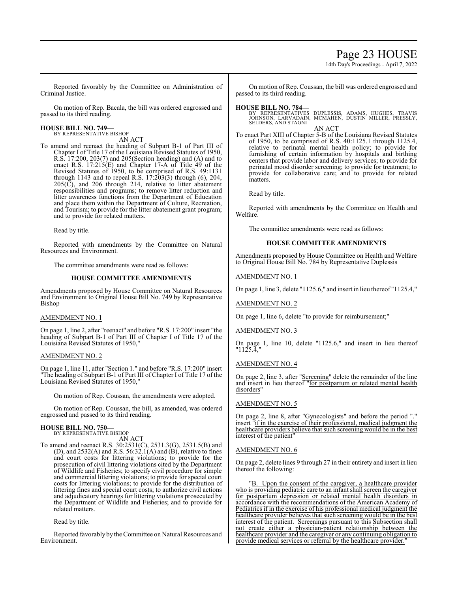# Page 23 HOUSE

14th Day's Proceedings - April 7, 2022

Reported favorably by the Committee on Administration of Criminal Justice.

On motion of Rep. Bacala, the bill was ordered engrossed and passed to its third reading.

#### **HOUSE BILL NO. 749—** BY REPRESENTATIVE BISHOP

AN ACT

To amend and reenact the heading of Subpart B-1 of Part III of Chapter I of Title 17 of the Louisiana Revised Statutes of 1950, R.S. 17:200, 203(7) and 205(Section heading) and (A) and to enact R.S. 17:215(E) and Chapter 17-A of Title 49 of the Revised Statutes of 1950, to be comprised of R.S. 49:1131 through 1143 and to repeal R.S. 17:203(3) through (6), 204,  $205(\overline{C})$ , and  $206$  through 214, relative to litter abatement responsibilities and programs; to remove litter reduction and litter awareness functions from the Department of Education and place them within the Department of Culture, Recreation, and Tourism; to provide for the litter abatement grant program; and to provide for related matters.

Read by title.

Reported with amendments by the Committee on Natural Resources and Environment.

The committee amendments were read as follows:

#### **HOUSE COMMITTEE AMENDMENTS**

Amendments proposed by House Committee on Natural Resources and Environment to Original House Bill No. 749 by Representative Bishop

# AMENDMENT NO. 1

On page 1, line 2, after "reenact" and before "R.S. 17:200" insert "the heading of Subpart B-1 of Part III of Chapter I of Title 17 of the Louisiana Revised Statutes of 1950,

# AMENDMENT NO. 2

On page 1, line 11, after "Section 1." and before "R.S. 17:200" insert "The heading of Subpart B-1 of Part III of Chapter I of Title 17 of the Louisiana Revised Statutes of 1950,"

On motion of Rep. Coussan, the amendments were adopted.

On motion of Rep. Coussan, the bill, as amended, was ordered engrossed and passed to its third reading.

#### **HOUSE BILL NO. 750—** BY REPRESENTATIVE BISHOP

AN ACT

To amend and reenact R.S. 30:2531(C), 2531.3(G), 2531.5(B) and (D), and  $2532(A)$  and R.S. 56:32.1(A) and (B), relative to fines and court costs for littering violations; to provide for the prosecution of civil littering violations cited by the Department of Wildlife and Fisheries; to specify civil procedure for simple and commercial littering violations; to provide for special court costs for littering violations; to provide for the distribution of littering fines and special court costs; to authorize civil actions and adjudicatory hearings for littering violations prosecuted by the Department of Wildlife and Fisheries; and to provide for related matters.

Read by title.

Reported favorably by the Committee on Natural Resources and Environment.

On motion of Rep. Coussan, the bill was ordered engrossed and passed to its third reading.

#### **HOUSE BILL NO. 784—**

BY REPRESENTATIVES DUPLESSIS, ADAMS, HUGHES, TRAVIS<br>JOHNSON, LARVADAIN, MCMAHEN, DUSTIN MILLER, PRESSLY,<br>SELDERS,AND STAGNI AN ACT

To enact Part XIII of Chapter 5-B of the Louisiana Revised Statutes of 1950, to be comprised of R.S. 40:1125.1 through 1125.4, relative to perinatal mental health policy; to provide for furnishing of certain information by hospitals and birthing centers that provide labor and delivery services; to provide for perinatal mood disorder screening; to provide for treatment; to provide for collaborative care; and to provide for related matters.

Read by title.

Reported with amendments by the Committee on Health and Welfare.

The committee amendments were read as follows:

# **HOUSE COMMITTEE AMENDMENTS**

Amendments proposed by House Committee on Health and Welfare to Original House Bill No. 784 by Representative Duplessis

# AMENDMENT NO. 1

On page 1, line 3, delete "1125.6," and insert in lieu thereof "1125.4,"

#### AMENDMENT NO. 2

On page 1, line 6, delete "to provide for reimbursement;"

#### AMENDMENT NO. 3

On page 1, line 10, delete "1125.6," and insert in lieu thereof "1125.4,"

#### AMENDMENT NO. 4

On page 2, line 3, after "Screening" delete the remainder of the line and insert in lieu thereof "for postpartum or related mental health disorders"

#### AMENDMENT NO. 5

On page 2, line 8, after "Gynecologists" and before the period "." insert "if in the exercise of their professional, medical judgment the healthcare providers believe that such screening would be in the best interest of the patient"

#### AMENDMENT NO. 6

On page 2, delete lines 9 through 27 in their entirety and insert in lieu thereof the following:

"B. Upon the consent of the caregiver, a healthcare provider who is providing pediatric care to an infant shall screen the caregiver for postpartum depression or related mental health disorders in accordance with the recommendations of the American Academy of Pediatrics if in the exercise of his professional medical judgment the healthcare provider believes that such screening would be in the best interest of the patient. Screenings pursuant to this Subsection shall not create either a physician-patient relationship between the healthcare provider and the caregiver or any continuing obligation to provide medical services or referral by the healthcare provider."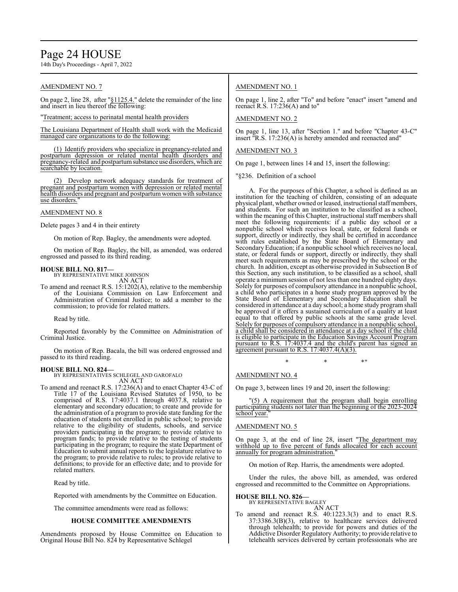# Page 24 HOUSE

14th Day's Proceedings - April 7, 2022

# AMENDMENT NO. 7

On page 2, line 28, after "§1125.4." delete the remainder of the line and insert in lieu thereof the following:

"Treatment; access to perinatal mental health providers

The Louisiana Department of Health shall work with the Medicaid managed care organizations to do the following:

(1) Identify providers who specialize in pregnancy-related and postpartum depression or related mental health disorders and pregnancy-related and postpartumsubstance use disorders, which are searchable by location.

(2) Develop network adequacy standards for treatment of pregnant and postpartum women with depression or related mental health disorders and pregnant and postpartum women with substance use disorders.

### AMENDMENT NO. 8

Delete pages 3 and 4 in their entirety

On motion of Rep. Bagley, the amendments were adopted.

On motion of Rep. Bagley, the bill, as amended, was ordered engrossed and passed to its third reading.

# **HOUSE BILL NO. 817—**

BY REPRESENTATIVE MIKE JOHNSON AN ACT

To amend and reenact R.S. 15:1202(A), relative to the membership of the Louisiana Commission on Law Enforcement and Administration of Criminal Justice; to add a member to the commission; to provide for related matters.

Read by title.

Reported favorably by the Committee on Administration of Criminal Justice.

On motion of Rep. Bacala, the bill was ordered engrossed and passed to its third reading.

**HOUSE BILL NO. 824—** BY REPRESENTATIVES SCHLEGEL AND GAROFALO AN ACT

To amend and reenact R.S. 17:236(A) and to enact Chapter 43-C of Title 17 of the Louisiana Revised Statutes of 1950, to be comprised of R.S. 17:4037.1 through 4037.8, relative to elementary and secondary education; to create and provide for the administration of a program to provide state funding for the education of students not enrolled in public school; to provide relative to the eligibility of students, schools, and service providers participating in the program; to provide relative to program funds; to provide relative to the testing of students participating in the program; to require the state Department of Education to submit annual reports to the legislature relative to the program; to provide relative to rules; to provide relative to definitions; to provide for an effective date; and to provide for related matters.

Read by title.

Reported with amendments by the Committee on Education.

The committee amendments were read as follows:

#### **HOUSE COMMITTEE AMENDMENTS**

Amendments proposed by House Committee on Education to Original House Bill No. 824 by Representative Schlegel

# AMENDMENT NO. 1

On page 1, line 2, after "To" and before "enact" insert "amend and reenact R.S.  $17:236(A)$  and to"

# AMENDMENT NO. 2

On page 1, line 13, after "Section 1." and before "Chapter 43-C" insert "R.S. 17:236(A) is hereby amended and reenacted and"

# AMENDMENT NO. 3

On page 1, between lines 14 and 15, insert the following:

"§236. Definition of a school

A. For the purposes of this Chapter, a school is defined as an institution for the teaching of children, consisting of an adequate physical plant, whether owned or leased, instructional staffmembers, and students. For such an institution to be classified as a school, within the meaning of this Chapter, instructional staff members shall meet the following requirements: if a public day school or a nonpublic school which receives local, state, or federal funds or support, directly or indirectly, they shall be certified in accordance with rules established by the State Board of Elementary and Secondary Education; if a nonpublic school which receives no local, state, or federal funds or support, directly or indirectly, they shall meet such requirements as may be prescribed by the school or the church. In addition, except as otherwise provided in Subsection B of this Section, any such institution, to be classified as a school, shall operate a minimum session of not less than one hundred eighty days. Solely for purposes of compulsory attendance in a nonpublic school, a child who participates in a home study program approved by the State Board of Elementary and Secondary Education shall be considered in attendance at a day school; a home study program shall be approved if it offers a sustained curriculum of a quality at least equal to that offered by public schools at the same grade level. Solely for purposes of compulsory attendance in a nonpublic school, a child shall be considered in attendance at a day school if the child is eligible to participate in the Education Savings Account Program pursuant to R.S. 17:4037.4 and the child's parent has signed an agreement pursuant to R.S.  $17:4037.4(A)(3)$ .

 $*$  \*  $*$  \*

# AMENDMENT NO. 4

On page 3, between lines 19 and 20, insert the following:

"(5) A requirement that the program shall begin enrolling participating students not later than the beginning of the 2023-2024 school year.

#### AMENDMENT NO. 5

On page 3, at the end of line 28, insert "The department may withhold up to five percent of funds allocated for each account annually for program administration."

On motion of Rep. Harris, the amendments were adopted.

Under the rules, the above bill, as amended, was ordered engrossed and recommitted to the Committee on Appropriations.

# **HOUSE BILL NO. 826—** BY REPRESENTATIVE BAGLEY

AN ACT To amend and reenact R.S. 40:1223.3(3) and to enact R.S. 37:3386.3(B)(3), relative to healthcare services delivered through telehealth; to provide for powers and duties of the Addictive Disorder Regulatory Authority; to provide relative to telehealth services delivered by certain professionals who are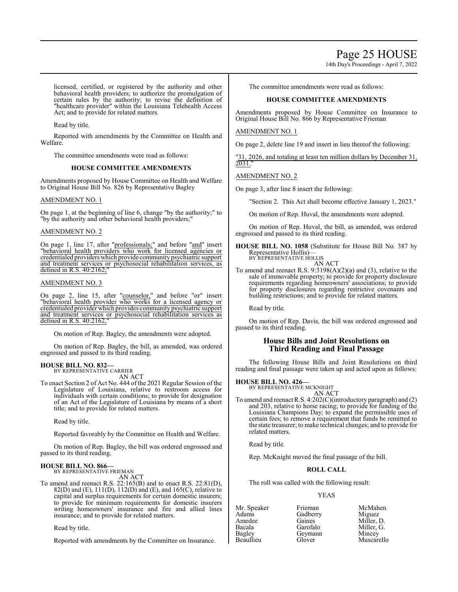# Page 25 HOUSE

14th Day's Proceedings - April 7, 2022

licensed, certified, or registered by the authority and other behavioral health providers; to authorize the promulgation of certain rules by the authority; to revise the definition of "healthcare provider" within the Louisiana Telehealth Access Act; and to provide for related matters.

Read by title.

Reported with amendments by the Committee on Health and Welfare.

The committee amendments were read as follows:

# **HOUSE COMMITTEE AMENDMENTS**

Amendments proposed by House Committee on Health and Welfare to Original House Bill No. 826 by Representative Bagley

# AMENDMENT NO. 1

On page 1, at the beginning of line 6, change "by the authority;" to "by the authority and other behavioral health providers;"

# AMENDMENT NO. 2

On page 1, line 17, after "professionals;" and before "and" insert "behavioral health providers who work for licensed agencies or credentialed providers which provide community psychiatric support and treatment services or psychosocial rehabilitation services, as defined in R.S. 40:2162;"

# AMENDMENT NO. 3

On page 2, line 15, after "counselor," and before "or" insert "behavioral health provider who works for a licensed agency or credentialed provider which provides community psychiatric support and treatment services or psychosocial rehabilitation services as defined in R.S. 40:2162,

On motion of Rep. Bagley, the amendments were adopted.

On motion of Rep. Bagley, the bill, as amended, was ordered engrossed and passed to its third reading.

# **HOUSE BILL NO. 832—**

BY REPRESENTATIVE CARRIER AN ACT

To enact Section 2 of Act No. 444 of the 2021 Regular Session of the Legislature of Louisiana, relative to restroom access for individuals with certain conditions; to provide for designation of an Act of the Legislature of Louisiana by means of a short title; and to provide for related matters.

Read by title.

Reported favorably by the Committee on Health and Welfare.

On motion of Rep. Bagley, the bill was ordered engrossed and passed to its third reading.

#### **HOUSE BILL NO. 866—** BY REPRESENTATIVE FRIEMAN

AN ACT

To amend and reenact R.S. 22:165(B) and to enact R.S. 22:81(D), 82(D) and (E),  $111(D)$ ,  $112(D)$  and (E), and  $165(C)$ , relative to capital and surplus requirements for certain domestic insurers; to provide for minimum requirements for domestic insurers writing homeowners' insurance and fire and allied lines insurance; and to provide for related matters.

Read by title.

Reported with amendments by the Committee on Insurance.

The committee amendments were read as follows:

# **HOUSE COMMITTEE AMENDMENTS**

Amendments proposed by House Committee on Insurance to Original House Bill No. 866 by Representative Frieman

# AMENDMENT NO. 1

On page 2, delete line 19 and insert in lieu thereof the following:

"31, 2026, and totaling at least ten million dollars by December 31, 2031."

# AMENDMENT NO. 2

On page 3, after line 8 insert the following:

"Section 2. This Act shall become effective January 1, 2023."

On motion of Rep. Huval, the amendments were adopted.

On motion of Rep. Huval, the bill, as amended, was ordered engrossed and passed to its third reading.

**HOUSE BILL NO. 1058** (Substitute for House Bill No. 387 by Representative Hollis)— BY REPRESENTATIVE HOLLIS

AN ACT

To amend and reenact R.S. 9:3198(A)(2)(a) and (3), relative to the sale of immovable property; to provide for property disclosure requirements regarding homeowners' associations; to provide for property disclosures regarding restrictive covenants and building restrictions; and to provide for related matters.

Read by title.

On motion of Rep. Davis, the bill was ordered engrossed and passed to its third reading.

# **House Bills and Joint Resolutions on Third Reading and Final Passage**

The following House Bills and Joint Resolutions on third reading and final passage were taken up and acted upon as follows:

# **HOUSE BILL NO. 426—** BY REPRESENTATIVE MCKNIGHT

AN ACT

To amend and reenact R.S. 4:202(C)(introductory paragraph) and (2) and 203, relative to horse racing; to provide for funding of the Louisiana Champions Day; to expand the permissible uses of certain fees; to remove a requirement that funds be remitted to the state treasurer; to make technical changes; and to provide for related matters.

Read by title.

Rep. McKnight moved the final passage of the bill.

# **ROLL CALL**

The roll was called with the following result:

#### YEAS

Adams Gadberry<br>Amedee Gaines Amedee Gaines Miller, D.<br>Bacala Garofalo Miller, G. Bacala Garofalo Miller, G.<br>Bagley Geymann Mincey Bagley Geymann<br>Beaullieu Glover

Mr. Speaker Frieman McMahen<br>Adams Gadberry Miguez Muscarello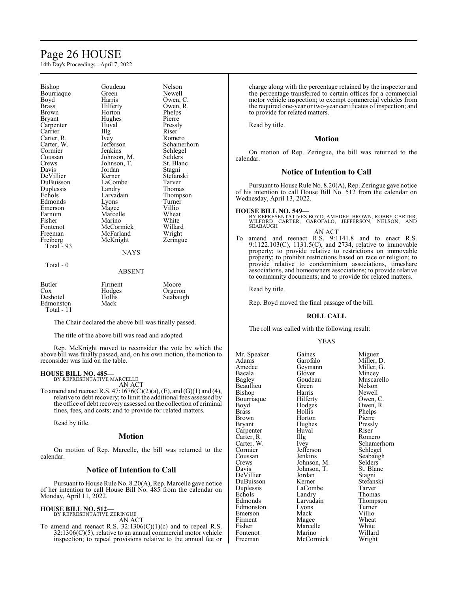# Page 26 HOUSE

14th Day's Proceedings - April 7, 2022

| Bishop<br>Bourriaque<br>Boyd<br>Brass<br>Brown<br>Bryant<br>Carpenter<br>Carrier<br>Carter, R.<br>Carter, W.<br>Cormier<br>Coussan<br>Crews<br>Davis<br>DeVillier<br>DuBuisson<br>Duplessis<br>Echols<br>Edmonds<br>Emerson<br>Farnum<br>Fisher<br>Fontenot<br>Freeman | Goudeau<br>Green<br>Harris<br>Hilferty<br>Horton<br>Hughes<br>Huval<br>Illg<br><i>lvey</i><br>Jefferson<br>Jenkins<br>Johnson, M.<br>Johnson, T.<br>Jordan<br>Kerner<br>LaCombe<br>Landry<br>Larvadain<br>Lyons<br>Magee<br>Marcelle<br>Marino<br>McCormick<br>McFarland | Nelson<br>Newell<br>Owen, C.<br>Owen, R.<br>Phelps<br>Pierre<br>Pressly<br>Riser<br>Romero<br>Schamerhorn<br>Schlegel<br>Selders<br>St. Blanc<br>Stagni<br>Stefanski<br>Tarver<br>Thomas<br>Thompson<br>Turner<br>Villio<br>Wheat<br>White<br>Willard |
|------------------------------------------------------------------------------------------------------------------------------------------------------------------------------------------------------------------------------------------------------------------------|--------------------------------------------------------------------------------------------------------------------------------------------------------------------------------------------------------------------------------------------------------------------------|-------------------------------------------------------------------------------------------------------------------------------------------------------------------------------------------------------------------------------------------------------|
| Freiberg                                                                                                                                                                                                                                                               | McKnight                                                                                                                                                                                                                                                                 | Wright<br>Zeringue                                                                                                                                                                                                                                    |
| Total - 93                                                                                                                                                                                                                                                             | <b>NAYS</b>                                                                                                                                                                                                                                                              |                                                                                                                                                                                                                                                       |

#### Total - 0

#### ABSENT

| <b>Butler</b><br>Cox<br>Deshotel<br>Edmonston | Firment<br>Hodges<br>Hollis<br>Mack | Moore<br>Orgeron<br>Seabaugh |
|-----------------------------------------------|-------------------------------------|------------------------------|
| Total - $11$                                  |                                     |                              |

The Chair declared the above bill was finally passed.

The title of the above bill was read and adopted.

Rep. McKnight moved to reconsider the vote by which the above bill was finally passed, and, on his own motion, the motion to reconsider was laid on the table.

# **HOUSE BILL NO. 485—**

BY REPRESENTATIVE MARCELLE AN ACT

To amend and reenact R.S.  $47:1676(C)(2)(a)$ , (E), and (G)(1) and (4), relative to debt recovery; to limit the additional fees assessed by the office of debt recovery assessed on the collection of criminal fines, fees, and costs; and to provide for related matters.

Read by title.

# **Motion**

On motion of Rep. Marcelle, the bill was returned to the calendar.

# **Notice of Intention to Call**

Pursuant to House Rule No. 8.20(A), Rep. Marcelle gave notice of her intention to call House Bill No. 485 from the calendar on Monday, April 11, 2022.

### **HOUSE BILL NO. 512—**

BY REPRESENTATIVE ZERINGUE

- AN ACT
- To amend and reenact R.S.  $32:1306(C)(1)(c)$  and to repeal R.S. 32:1306(C)(5), relative to an annual commercial motor vehicle inspection; to repeal provisions relative to the annual fee or

charge along with the percentage retained by the inspector and the percentage transferred to certain offices for a commercial motor vehicle inspection; to exempt commercial vehicles from the required one-year or two-year certificates of inspection; and to provide for related matters.

Read by title.

#### **Motion**

On motion of Rep. Zeringue, the bill was returned to the calendar.

# **Notice of Intention to Call**

Pursuant to House Rule No. 8.20(A), Rep. Zeringue gave notice of his intention to call House Bill No. 512 from the calendar on Wednesday, April 13, 2022.

#### **HOUSE BILL NO. 549—**

BY REPRESENTATIVES BOYD, AMEDEE, BROWN, ROBBY CARTER, WILFORD CARTER, GAROFALO, JEFFERSON, NELSON, AND SEABAUGH AN ACT

To amend and reenact R.S. 9:1141.8 and to enact R.S. 9:1122.103(C), 1131.5(C), and 2734, relative to immovable property; to provide relative to restrictions on immovable property; to prohibit restrictions based on race or religion; to provide relative to condominium associations, timeshare associations, and homeowners associations; to provide relative to community documents; and to provide for related matters.

Read by title.

Rep. Boyd moved the final passage of the bill.

# **ROLL CALL**

The roll was called with the following result:

#### YEAS

| Mr. Speaker   | Gaines      | Miguez      |
|---------------|-------------|-------------|
| Adams         | Garofalo    | Miller, D.  |
| Amedee        | Geymann     | Miller, G.  |
| Bacala        | Glover      | Mincey      |
| <b>Bagley</b> | Goudeau     | Muscarello  |
| Beaullieu     | Green       | Nelson      |
| Bishop        | Harris      | Newell      |
| Bourriaque    | Hilferty    | Owen, C.    |
| Boyd          | Hodges      | Owen, R.    |
| <b>Brass</b>  | Hollis      | Phelps      |
| Brown         | Horton      | Pierre      |
| Bryant        | Hughes      | Pressly     |
| Carpenter     | Huval       | Riser       |
| Carter, R.    | Illg        | Romero      |
| Carter, W.    | Ivey        | Schamerhorn |
| Cormier       | Jefferson   | Schlegel    |
| Coussan       | Jenkins     | Seabaugh    |
| Crews         | Johnson, M. | Selders     |
| Davis         | Johnson, T. | St. Blanc   |
| DeVillier     | Jordan      | Stagni      |
| DuBuisson     | Kerner      | Stefanski   |
| Duplessis     | LaCombe     | Tarver      |
| Echols        | Landry      | Thomas      |
| Edmonds       | Larvadain   | Thompson    |
| Edmonston     | Lyons       | Turner      |
| Emerson       | Mack        | Villio      |
| Firment       | Magee       | Wheat       |
| Fisher        | Marcelle    | White       |
| Fontenot      | Marino      | Willard     |
| Freeman       | McCormick   | Wright      |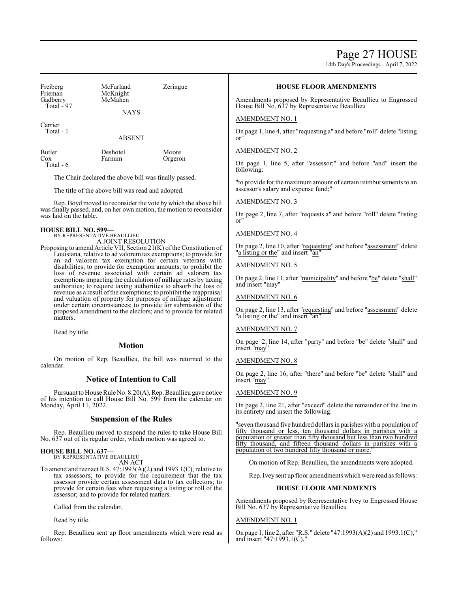Page 27 HOUSE

14th Day's Proceedings - April 7, 2022

| Freiberg<br>Frieman<br>Gadberry<br>Total - 97 | McFarland<br>McKnight<br>McMahen<br><b>NAYS</b> | Zeringue |
|-----------------------------------------------|-------------------------------------------------|----------|
| Carrier<br>Total - 1                          | <b>ABSENT</b>                                   |          |
|                                               |                                                 |          |

Butler Deshotel Moore<br>Cox Farnum Orgero Orgeron Total - 6

The Chair declared the above bill was finally passed.

The title of the above bill was read and adopted.

Rep. Boyd moved to reconsider the vote by which the above bill was finally passed, and, on her own motion, the motion to reconsider was laid on the table.

# **HOUSE BILL NO. 599—**

BY REPRESENTATIVE BEAULLIEU A JOINT RESOLUTION

Proposing to amend Article VII, Section  $21(K)$  of the Constitution of Louisiana, relative to ad valorem tax exemptions; to provide for an ad valorem tax exemption for certain veterans with disabilities; to provide for exemption amounts; to prohibit the loss of revenue associated with certain ad valorem tax exemptions impacting the calculation of millage rates by taxing authorities; to require taxing authorities to absorb the loss of revenue as a result of the exemptions; to prohibit the reappraisal and valuation of property for purposes of millage adjustment under certain circumstances; to provide for submission of the proposed amendment to the electors; and to provide for related matters.

Read by title.

# **Motion**

On motion of Rep. Beaullieu, the bill was returned to the calendar.

# **Notice of Intention to Call**

Pursuant to House Rule No. 8.20(A), Rep. Beaullieu gave notice of his intention to call House Bill No. 599 from the calendar on Monday, April 11, 2022.

# **Suspension of the Rules**

Rep. Beaullieu moved to suspend the rules to take House Bill No. 637 out of its regular order, which motion was agreed to.

#### **HOUSE BILL NO. 637—** BY REPRESENTATIVE BEAULLIEU

AN ACT

To amend and reenact R.S. 47:1993(A)(2) and 1993.1(C), relative to tax assessors; to provide for the requirement that the tax assessor provide certain assessment data to tax collectors; to provide for certain fees when requesting a listing or roll of the assessor; and to provide for related matters.

Called from the calendar.

Read by title.

Rep. Beaullieu sent up floor amendments which were read as follows:

# **HOUSE FLOOR AMENDMENTS**

Amendments proposed by Representative Beaullieu to Engrossed House Bill No. 637 by Representative Beaullieu

### AMENDMENT NO. 1

On page 1, line 4, after "requesting a" and before "roll" delete "listing or"

# AMENDMENT NO. 2

On page 1, line 5, after "assessor;" and before "and" insert the following:

"to provide for the maximumamount of certain reimbursements to an assessor's salary and expense fund;"

# AMENDMENT NO. 3

On page 2, line 7, after "requests a" and before "roll" delete "listing or"

# AMENDMENT NO. 4

On page 2, line 10, after "requesting" and before "assessment" delete 'a listing or the" and insert "an"

#### AMENDMENT NO. 5

On page 2, line 11, after "municipality" and before "be" delete "shall" and insert "may"

#### AMENDMENT NO. 6

On page 2, line 13, after "requesting" and before "assessment" delete 'a listing or the" and insert "an'

# AMENDMENT NO. 7

On page 2, line 14, after "party" and before "be" delete "shall" and insert "may"

### AMENDMENT NO. 8

On page 2, line 16, after "there" and before "be" delete "shall" and insert "may"

#### AMENDMENT NO. 9

On page 2, line 21, after "exceed" delete the remainder of the line in its entirety and insert the following:

seven thousand five hundred dollars in parishes with a population of fifty thousand or less, ten thousand dollars in parishes with a population of greater than fifty thousand but less than two hundred fifty thousand, and fifteen thousand dollars in parishes with a population of two hundred fifty thousand or more."

On motion of Rep. Beaullieu, the amendments were adopted.

Rep. Ivey sent up floor amendments which were read as follows:

### **HOUSE FLOOR AMENDMENTS**

Amendments proposed by Representative Ivey to Engrossed House Bill No. 637 by Representative Beaullieu

#### AMENDMENT NO. 1

On page 1, line 2, after "R.S." delete "47:1993(A)(2) and 1993.1(C)," and insert "47:1993.1(C),"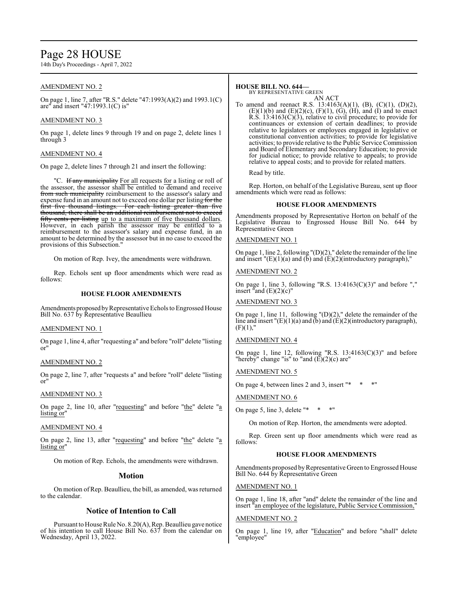# Page 28 HOUSE

14th Day's Proceedings - April 7, 2022

# AMENDMENT NO. 2

On page 1, line 7, after "R.S." delete "47:1993(A)(2) and 1993.1(C) are" and insert "47:1993.1(C) is"

# AMENDMENT NO. 3

On page 1, delete lines 9 through 19 and on page 2, delete lines 1 through 3

# AMENDMENT NO. 4

On page 2, delete lines 7 through 21 and insert the following:

"C. If any municipality For all requests for a listing or roll of the assessor, the assessor shall be entitled to demand and receive from such municipality reimbursement to the assessor's salary and expense fund in an amount not to exceed one dollar per listing for the first five thousand listings. For each listing greater than five thousand, there shall be an additional reimbursement not to exceed fifty cents per listing up to a maximum of five thousand dollars. However, in each parish the assessor may be entitled to a reimbursement to the assessor's salary and expense fund, in an amount to be determined by the assessor but in no case to exceed the provisions of this Subsection."

On motion of Rep. Ivey, the amendments were withdrawn.

Rep. Echols sent up floor amendments which were read as follows:

# **HOUSE FLOOR AMENDMENTS**

Amendments proposed by Representative Echols to Engrossed House Bill No. 637 by Representative Beaullieu

# AMENDMENT NO. 1

On page 1, line 4, after "requesting a" and before "roll" delete "listing or"

# AMENDMENT NO. 2

On page 2, line 7, after "requests a" and before "roll" delete "listing or"

# AMENDMENT NO. 3

On page 2, line 10, after " $requesting$ " and before " $the$ " delete " $a$ </u></u></u> listing or

# AMENDMENT NO. 4

On page 2, line 13, after "requesting" and before "the" delete "a listing or'

On motion of Rep. Echols, the amendments were withdrawn.

# **Motion**

On motion ofRep. Beaullieu, the bill, as amended, was returned to the calendar.

# **Notice of Intention to Call**

Pursuant to House Rule No. 8.20(A), Rep. Beaullieu gave notice of his intention to call House Bill No. 637 from the calendar on Wednesday, April 13, 2022.

# **HOUSE BILL NO. 644—**

BY REPRESENTATIVE GREEN AN ACT

To amend and reenact R.S. 13:4163(A)(1), (B), (C)(1), (D)(2),  $(E)(1)(b)$  and  $(E)(2)(c)$ ,  $(F)(1)$ ,  $(G)$ ,  $(H)$ , and  $(I)$  and to enact R.S. 13:4163(C)(3), relative to civil procedure; to provide for continuances or extension of certain deadlines; to provide relative to legislators or employees engaged in legislative or constitutional convention activities; to provide for legislative activities; to provide relative to the Public Service Commission and Board of Elementary and Secondary Education; to provide for judicial notice; to provide relative to appeals; to provide relative to appeal costs; and to provide for related matters.

Read by title.

Rep. Horton, on behalf of the Legislative Bureau, sent up floor amendments which were read as follows:

# **HOUSE FLOOR AMENDMENTS**

Amendments proposed by Representative Horton on behalf of the Legislative Bureau to Engrossed House Bill No. 644 by Representative Green

# AMENDMENT NO. 1

On page 1, line 2, following  $(D)(2)$ ," delete the remainder of the line and insert "(E)(1)(a) and (b) and  $(E)(2)$ (introductory paragraph),"

# AMENDMENT NO. 2

On page 1, line 3, following "R.S.  $13:4163(C)(3)$ " and before "," insert "and  $(E)(2)(c)$ "

AMENDMENT NO. 3

On page 1, line 11, following "(D)(2)," delete the remainder of the line and insert "(E)(1)(a) and (b) and (E)(2)(introductory paragraph),  $(F)(1)$ ,"

# AMENDMENT NO. 4

On page 1, line 12, following "R.S.  $13:4163(C)(3)$ " and before "hereby" change "is" to "and  $(\bar{E})(2)(c)$  are"

# AMENDMENT NO. 5

On page 4, between lines 2 and 3, insert "\* \* \* "

# AMENDMENT NO. 6

On page 5, line 3, delete "\* \* \* "

On motion of Rep. Horton, the amendments were adopted.

Rep. Green sent up floor amendments which were read as follows:

# **HOUSE FLOOR AMENDMENTS**

Amendments proposed by Representative Green to Engrossed House Bill No. 644 by Representative Green

AMENDMENT NO. 1

On page 1, line 18, after "and" delete the remainder of the line and insert "an employee of the legislature, Public Service Commission,"

# AMENDMENT NO. 2

On page 1, line 19, after "Education" and before "shall" delete "employee"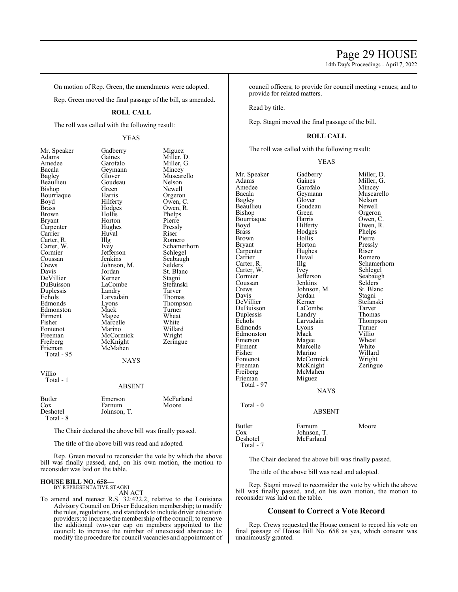14th Day's Proceedings - April 7, 2022

On motion of Rep. Green, the amendments were adopted.

Rep. Green moved the final passage of the bill, as amended.

# **ROLL CALL**

The roll was called with the following result:

# YEAS

Mr. Speaker Gadberry Miguez<br>Adams Gaines Miller, 1 Adams Gaines Miller, D.<br>Amedee Garofalo Miller, G. Bacala Geymann<br>Bagley Glover Bourriaque Harris<br>Boyd Hilferty Cormier Jefferson<br>Coussan Jenkins Crews Johnson, M.<br>Davis Jordan Echols Larvadain<br>Edmonds Lyons Freiberg McKnight<br>Frieman McMahen Total - 95 Villio Total - 1

Amedee Garofalo Miller, G.<br>Bacala Geymann Mincey Glover Muscarello<br>Goudeau Nelson Beaullieu Goudeau Nelson<br>Bishop Green Newell Bishop Green Newell<br>Bourriaque Harris Orgeron Boyd Hilferty Owen, C.<br>Brass Hodges Owen, R. Brass Hodges Owen, R. Brown Hollis Phelps Brown Hollis Phelps<br>Bryant Horton Pierre Horton Pierre<br>Hughes Pressly Carpenter Hughes Pressl<br>Carrier Huyal Riser Carrier Huval Riser Carter, R. Illg Romero<br>Carter, W. Ivey Schame Carter, W. Ivey Schamerhorn Coussan Jenkins Seabaugh<br>Crews Johnson, M. Selders Jordan St. Blanc<br>Kerner Stagni DeVillier Kerner Stagni<br>DuBuisson LaCombe Stefanski DuBuisson LaCombe Stefans<br>
Duplessis Landry Tarver Duplessis Landry Tarver<br>
Echols Larvadain Thomas Eyons Thompson<br>
Mack Turner Edmonston Mack Turner<br>Firment Magee Wheat Magee Wheat<br>
Marcelle White Fisher Marcelle White<br>Fontenot Marino Willard Fontenot Marino Willard<br>Freeman McCormick Wright Freeman McCormick Wright<br>
Freiberg McKnight Zeringue McMahen **NAYS** 

#### ABSENT

| <b>Butler</b> | Emerson     | McFarland |
|---------------|-------------|-----------|
| Cox           | Farnum      | Moore     |
| Deshotel      | Johnson, T. |           |
| Total - 8     |             |           |

The Chair declared the above bill was finally passed.

The title of the above bill was read and adopted.

Rep. Green moved to reconsider the vote by which the above bill was finally passed, and, on his own motion, the motion to reconsider was laid on the table.

### **HOUSE BILL NO. 658—**

BY REPRESENTATIVE STAGNI

AN ACT

To amend and reenact R.S. 32:422.2, relative to the Louisiana Advisory Council on Driver Education membership; to modify the rules, regulations, and standards to include driver education providers; to increase the membership of the council; to remove the additional two-year cap on members appointed to the council; to increase the number of unexcused absences; to modify the procedure for council vacancies and appointment of council officers; to provide for council meeting venues; and to provide for related matters.

Read by title.

Rep. Stagni moved the final passage of the bill.

# **ROLL CALL**

The roll was called with the following result:

#### YEAS

| Mr. Speaker<br>Adams<br>Amedee<br>Bacala<br>Bagley | Gadberry<br>Gaines<br>Garofalo<br>Geymann<br>Glover | Miller, D.<br>Miller, G.<br>Mincey<br>Muscarello<br>Nelson |
|----------------------------------------------------|-----------------------------------------------------|------------------------------------------------------------|
| Beaullieu                                          | Goudeau                                             | Newell                                                     |
| Bishop                                             | Green                                               | Orgeron                                                    |
| Bourriaque                                         | Harris                                              | Owen, C.                                                   |
| Boyd                                               | Hilferty                                            | Owen, R.                                                   |
| Brass                                              | Hodges                                              | Phelps                                                     |
| <b>Brown</b>                                       | Hollis                                              | Pierre                                                     |
| Bryant                                             | Horton                                              | Pressly                                                    |
| Carpenter                                          | Hughes                                              | Riser                                                      |
| Carrier                                            | Huval                                               | Romero                                                     |
| Carter, R.                                         | Illg                                                | Schamerhorn                                                |
| Carter, W.                                         | <i>lvey</i>                                         | Schlegel                                                   |
| Cormier                                            | Jefferson                                           | Seabaugh                                                   |
| Coussan                                            | Jenkins                                             | Selders                                                    |
| Crews                                              | Johnson, M.                                         | St. Blanc                                                  |
| Davis                                              | Jordan                                              | Stagni                                                     |
| DeVillier                                          | Kerner                                              | Stefanski                                                  |
| DuBuisson                                          | LaCombe                                             | Tarver                                                     |
| Duplessis                                          | Landry                                              | Thomas                                                     |
| Echols                                             | Larvadain                                           | Thompson                                                   |
| Edmonds                                            | Lyons                                               | Turner                                                     |
| Edmonston                                          | Mack                                                | Villio                                                     |
| Emerson                                            | Magee                                               | Wheat                                                      |
| Firment                                            | Marcelle                                            | White                                                      |
| Fisher                                             | Marino                                              | Willard                                                    |
| Fontenot                                           | McCormick                                           | Wright                                                     |
| Freeman                                            | McKnight                                            | Zeringue                                                   |
| Freiberg                                           | McMahen                                             |                                                            |
| Frieman                                            | Miguez                                              |                                                            |
| Total - 97                                         |                                                     |                                                            |
|                                                    | <b>NAYS</b>                                         |                                                            |
| Total - 0                                          |                                                     |                                                            |
|                                                    | ABSENT                                              |                                                            |
| Butler                                             | Farnum                                              | Moore                                                      |
| Cox                                                | Johnson, T.                                         |                                                            |
| Deshotel<br>Total - 7                              | McFarland                                           |                                                            |

The Chair declared the above bill was finally passed.

The title of the above bill was read and adopted.

Rep. Stagni moved to reconsider the vote by which the above bill was finally passed, and, on his own motion, the motion to reconsider was laid on the table.

# **Consent to Correct a Vote Record**

Rep. Crews requested the House consent to record his vote on final passage of House Bill No. 658 as yea, which consent was unanimously granted.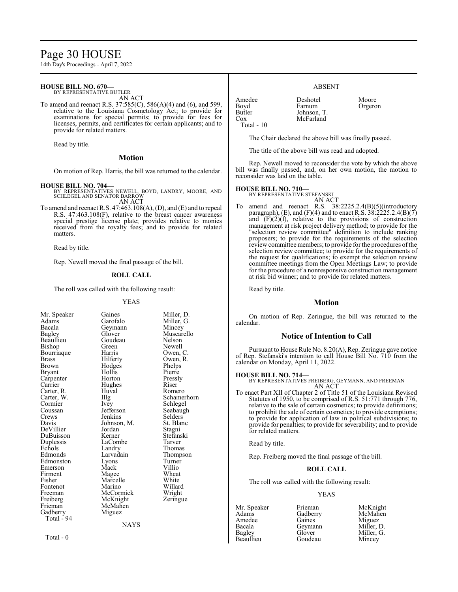# Page 30 HOUSE

14th Day's Proceedings - April 7, 2022

#### **HOUSE BILL NO. 670—** BY REPRESENTATIVE BUTLER

AN ACT

To amend and reenact R.S. 37:585(C), 586(A)(4) and (6), and 599, relative to the Louisiana Cosmetology Act; to provide for examinations for special permits; to provide for fees for licenses, permits, and certificates for certain applicants; and to provide for related matters.

Read by title.

#### **Motion**

On motion of Rep. Harris, the bill was returned to the calendar.

#### **HOUSE BILL NO. 704—**

BY REPRESENTATIVES NEWELL, BOYD, LANDRY, MOORE, AND SCHLEGEL AND SENATOR BARROW AN ACT

To amend and reenact R.S. 47:463.108(A), (D), and (E) and to repeal R.S. 47:463.108(F), relative to the breast cancer awareness special prestige license plate; provides relative to monies received from the royalty fees; and to provide for related matters.

Read by title.

Rep. Newell moved the final passage of the bill.

### **ROLL CALL**

The roll was called with the following result:

#### YEAS

| Mr. Speaker<br>Adams<br>Bacala<br>Bagley<br>Beaullieu<br>Bishop<br>Bourriaque<br>Brass<br>Brown<br>Bryant<br>Carpenter<br>Carrier<br>Carter, R.<br>Carter, W.<br>Cormier<br>Coussan<br>Crews<br>Davis<br>DeVillier<br>DuBuisson | Gaines<br>Garofalo<br>Geymann<br>Glover<br>Goudeau<br>Green<br>Harris<br>Hilferty<br>Hodges<br>Hollis<br>Horton<br>Hughes<br>Huval<br>Illg<br>Ivey<br>Jefferson<br>Jenkins<br>Johnson, M.<br>Jordan<br>Kerner | Miller, D.<br>Miller, G.<br>Mincey<br>Muscarello<br>Nelson<br>Newell<br>Owen, C.<br>Owen, R.<br>Phelps<br>Pierre<br>Pressly<br>Riser<br>Romero<br>Schamerhorn<br>Schlegel<br>Seabaugh<br>Selders<br>St. Blanc<br>Stagni<br>Stefanski |
|---------------------------------------------------------------------------------------------------------------------------------------------------------------------------------------------------------------------------------|---------------------------------------------------------------------------------------------------------------------------------------------------------------------------------------------------------------|--------------------------------------------------------------------------------------------------------------------------------------------------------------------------------------------------------------------------------------|
|                                                                                                                                                                                                                                 |                                                                                                                                                                                                               |                                                                                                                                                                                                                                      |
|                                                                                                                                                                                                                                 |                                                                                                                                                                                                               |                                                                                                                                                                                                                                      |
|                                                                                                                                                                                                                                 |                                                                                                                                                                                                               |                                                                                                                                                                                                                                      |
|                                                                                                                                                                                                                                 |                                                                                                                                                                                                               |                                                                                                                                                                                                                                      |
|                                                                                                                                                                                                                                 |                                                                                                                                                                                                               |                                                                                                                                                                                                                                      |
|                                                                                                                                                                                                                                 |                                                                                                                                                                                                               |                                                                                                                                                                                                                                      |
|                                                                                                                                                                                                                                 |                                                                                                                                                                                                               |                                                                                                                                                                                                                                      |
|                                                                                                                                                                                                                                 |                                                                                                                                                                                                               |                                                                                                                                                                                                                                      |
|                                                                                                                                                                                                                                 |                                                                                                                                                                                                               |                                                                                                                                                                                                                                      |
|                                                                                                                                                                                                                                 |                                                                                                                                                                                                               |                                                                                                                                                                                                                                      |
|                                                                                                                                                                                                                                 |                                                                                                                                                                                                               |                                                                                                                                                                                                                                      |
|                                                                                                                                                                                                                                 |                                                                                                                                                                                                               |                                                                                                                                                                                                                                      |
|                                                                                                                                                                                                                                 |                                                                                                                                                                                                               |                                                                                                                                                                                                                                      |
|                                                                                                                                                                                                                                 |                                                                                                                                                                                                               |                                                                                                                                                                                                                                      |
|                                                                                                                                                                                                                                 |                                                                                                                                                                                                               |                                                                                                                                                                                                                                      |
| Duplessis                                                                                                                                                                                                                       | LaCombe                                                                                                                                                                                                       | Tarver                                                                                                                                                                                                                               |
| Echols                                                                                                                                                                                                                          | Landry                                                                                                                                                                                                        | Thomas                                                                                                                                                                                                                               |
| Edmonds                                                                                                                                                                                                                         | Larvadain                                                                                                                                                                                                     | Thompson                                                                                                                                                                                                                             |
| Edmonston                                                                                                                                                                                                                       | Lyons                                                                                                                                                                                                         | Turner                                                                                                                                                                                                                               |
| Emerson                                                                                                                                                                                                                         | Mack                                                                                                                                                                                                          | Villio                                                                                                                                                                                                                               |
| Firment                                                                                                                                                                                                                         | Magee                                                                                                                                                                                                         | Wheat                                                                                                                                                                                                                                |
| Fisher                                                                                                                                                                                                                          | Marcelle                                                                                                                                                                                                      | White                                                                                                                                                                                                                                |
| Fontenot                                                                                                                                                                                                                        | Marino                                                                                                                                                                                                        | Willard                                                                                                                                                                                                                              |
| Freeman                                                                                                                                                                                                                         | McCormick                                                                                                                                                                                                     | Wright                                                                                                                                                                                                                               |
| Freiberg                                                                                                                                                                                                                        | McKnight                                                                                                                                                                                                      | Zeringue                                                                                                                                                                                                                             |
| Frieman                                                                                                                                                                                                                         | McMahen                                                                                                                                                                                                       |                                                                                                                                                                                                                                      |
|                                                                                                                                                                                                                                 |                                                                                                                                                                                                               |                                                                                                                                                                                                                                      |
| Gadberry<br>Total - 94                                                                                                                                                                                                          | Miguez                                                                                                                                                                                                        |                                                                                                                                                                                                                                      |
|                                                                                                                                                                                                                                 | <b>NAYS</b>                                                                                                                                                                                                   |                                                                                                                                                                                                                                      |
|                                                                                                                                                                                                                                 |                                                                                                                                                                                                               |                                                                                                                                                                                                                                      |
|                                                                                                                                                                                                                                 |                                                                                                                                                                                                               |                                                                                                                                                                                                                                      |

Total - 0

ABSENT

| Amedee      | Deshotel    | Moore   |
|-------------|-------------|---------|
| Boyd        | Farnum      | Orgeron |
| Butler      | Johnson, T. |         |
| Cox         | McFarland   |         |
| Total $-10$ |             |         |

The Chair declared the above bill was finally passed.

The title of the above bill was read and adopted.

Rep. Newell moved to reconsider the vote by which the above bill was finally passed, and, on her own motion, the motion to reconsider was laid on the table.

#### **HOUSE BILL NO. 710—**

BY REPRESENTATIVE STEFANSKI

AN ACT To amend and reenact R.S. 38:2225.2.4(B)(5)(introductory paragraph), (E), and (F)(4) and to enact R.S.  $3\hat{8}$ :  $2\hat{2}25.2.4(B)(7)$ and  $(F)(2)(f)$ , relative to the provisions of construction management at risk project delivery method; to provide for the "selection review committee" definition to include ranking proposers; to provide for the requirements of the selection review committee members; to provide for the procedures of the selection review committee; to provide for the requirements of the request for qualifications; to exempt the selection review committee meetings from the Open Meetings Law; to provide for the procedure of a nonresponsive construction management at risk bid winner; and to provide for related matters.

Read by title.

#### **Motion**

On motion of Rep. Zeringue, the bill was returned to the calendar.

# **Notice of Intention to Call**

Pursuant to House Rule No. 8.20(A), Rep. Zeringue gave notice of Rep. Stefanski's intention to call House Bill No. 710 from the calendar on Monday, April 11, 2022.

#### **HOUSE BILL NO. 714—**

BY REPRESENTATIVES FREIBERG, GEYMANN, AND FREEMAN AN ACT

To enact Part XII of Chapter 2 of Title 51 of the Louisiana Revised Statutes of 1950, to be comprised of R.S. 51:771 through 776, relative to the sale of certain cosmetics; to provide definitions; to prohibit the sale of certain cosmetics; to provide exemptions; to provide for application of law in political subdivisions; to provide for penalties; to provide for severability; and to provide for related matters.

Read by title.

Rep. Freiberg moved the final passage of the bill.

# **ROLL CALL**

The roll was called with the following result:

#### YEAS

Amedee Gaines<br>Bacala Geymann

Mr. Speaker Frieman McKnight<br>
Adams Gadberry McMahen Gadberry McMah<br>Gaines Miguez Bacala Geymann Miller, D. Glover Miller, G.<br>Goudeau Mincey Beaullieu Goudeau Mincey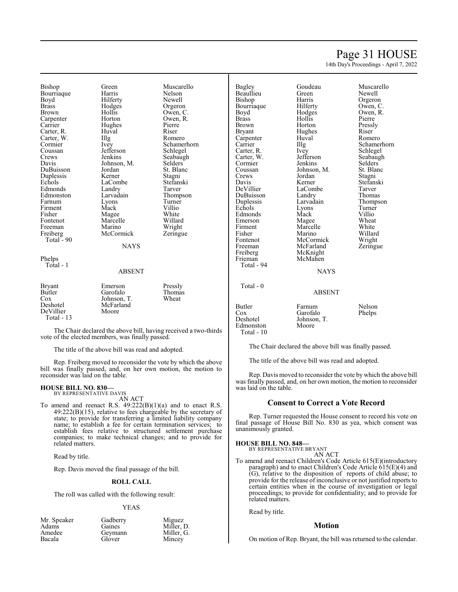# Page 31 HOUSE

14th Day's Proceedings - April 7, 2022

Bishop Green Muscarello<br>
Bourriaque Harris Nelson Bourriaque Harris Nelson<br>Bourriaque Harris Nelson<br>Boyd Hilferty Newell Boyd Hilferty<br>Brass Hodges Brass Hodges Orgeron Brown Hollis Owen, C.<br>Carpenter Horton Owen, R. Carrier Hughes Pierre<br>Carter, R. Huval Riser Carter, R. Huval Riser<br>Carter, W. Illg Romero Carter, W. Illg<br>Cormier Ivey Cormier Ivey Schamerhorn<br>
Coussan Iefferson Schlegel Coussan Jefferson Schlegel<br>Crews Jenkins Seabaugl Crews Jenkins Seabaugh<br>
Davis Johnson, M. Selders DuBuisson Jordan St. Bla<br>Duplessis Kerner Stagni Duplessis Kerner Stagni<br>
Echols I.aCombe Stefanski Edmonds Landry Tarver<br>
Edmonston Larvadain Thompson Edmonston Larvadain Thomp<br>Farnum Lyons Turner Firment Mack Villio<br>
Fisher Magee White<br>
Magee White Fisher Magee White Fontenot Marcelle Willard<br>Freeman Marino Wright Freeman Marino Wright<br>
Freiberg McCormick Zeringue Total  $-90$ 

Johnson, M. Selders<br>Jordan St. Blanc LaCombe Stefans<br>Landry Tarver Lyons Turner<br>Mack Villio **McCormick NAYS** 

Owen, R.

Phelps Total - 1

#### ABSENT

| <b>Bryant</b> | Emerson     | Pressly |
|---------------|-------------|---------|
| Butler        | Garofalo    | Thomas  |
| Cox           | Johnson, T. | Wheat   |
| Deshotel      | McFarland   |         |
| DeVillier     | Moore       |         |
| Total $-13$   |             |         |

The Chair declared the above bill, having received a two-thirds vote of the elected members, was finally passed.

The title of the above bill was read and adopted.

Rep. Freiberg moved to reconsider the vote by which the above bill was finally passed, and, on her own motion, the motion to reconsider was laid on the table.

#### **HOUSE BILL NO. 830—** BY REPRESENTATIVE DAVIS

AN ACT

To amend and reenact R.S.  $49:222(B)(1)(a)$  and to enact R.S.  $49:222(B)(15)$ , relative to fees chargeable by the secretary of state; to provide for transferring a limited liability company name; to establish a fee for certain termination services; to establish fees relative to structured settlement purchase companies; to make technical changes; and to provide for related matters.

Read by title.

Rep. Davis moved the final passage of the bill.

#### **ROLL CALL**

The roll was called with the following result:

#### YEAS

Miller, D.<br>Miller, G.

Mincey

Gadberry Miguez<br>Gaines Miller Geymann<br>Glover

Bagley Goudeau Muscarello Beaullieu Green<br>Bishop Harris Bourriaque Hilferty<br>Boyd Hodges Boyd Hodges Owen, R.<br>Brass Hollis Pierre Brass Hollis Pierre Brown Horton Pressly Bryant Hughes Riser<br>
Carpenter Huval Romero Carpenter Huv<br>Carrier Huy Carter, W. Jefferson Seabaughter Seabaughter<br>
Cormier Jenkins Selders Cormier Jenkins Selders<br>
Coussan Johnson, M. St. Blanc Coussan Johnson, M. St. Blanch<br>Crews Jordan Stagni Crews Jordan Stagni Davis Kerner Stefanski<br>DeVillier LaCombe Tarver DuBuisson Landry<br>
Duplessis Larvadain Duplessis Larvadain Thompson<br>
Echols Lyons Turner Edmonds Mack Villio<br>
Emerson Magee Wheat Emerson Magee Wheat<br>
Firment Marcelle White Firment Marcelle<br>Fisher Marino Fisher Marino Willard<br>Fontenot McCormick Wright Fontenot McCormick Wright<br>Freeman McFarland Zeringue Freeman McFarland<br>Freiberg McKnight Freiberg McKnight<br>Frieman McMahen Total - 94 Total - 0

McMahen **NAYS** 

Harris Orgeron<br>Hilferty Owen, C Carrier Illg Schamerhorn<br>Carter, R. Ivey Schlegel Ivey Schlegel<br>Jefferson Seabaugh LaCombe Tarver<br>
Landry Thomas Lyons Turner<br>Mack Villio

# ABSENT

| Butler      | Farnum      | Nelson |
|-------------|-------------|--------|
| Cox         | Garofalo    | Phelps |
| Deshotel    | Johnson, T. |        |
| Edmonston   | Moore       |        |
| Total $-10$ |             |        |
|             |             |        |

The Chair declared the above bill was finally passed.

The title of the above bill was read and adopted.

Rep. Davis moved to reconsider the vote by which the above bill was finally passed, and, on her own motion, the motion to reconsider was laid on the table.

# **Consent to Correct a Vote Record**

Rep. Turner requested the House consent to record his vote on final passage of House Bill No. 830 as yea, which consent was unanimously granted.

#### **HOUSE BILL NO. 848—**

BY REPRESENTATIVE BRYANT AN ACT

To amend and reenact Children's Code Article 615(E)(introductory paragraph) and to enact Children's Code Article 615(E)(4) and (G), relative to the disposition of reports of child abuse; to provide for the release of inconclusive or not justified reports to certain entities when in the course of investigation or legal proceedings; to provide for confidentiality; and to provide for related matters.

Read by title.

# **Motion**

On motion of Rep. Bryant, the bill was returned to the calendar.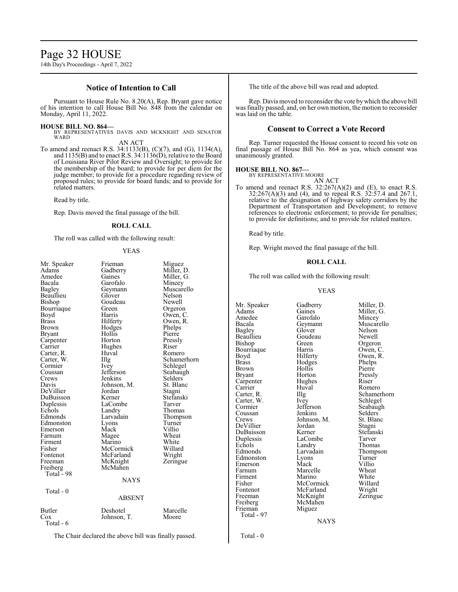# Page 32 HOUSE

14th Day's Proceedings - April 7, 2022

# **Notice of Intention to Call**

Pursuant to House Rule No. 8.20(A), Rep. Bryant gave notice of his intention to call House Bill No. 848 from the calendar on Monday, April 11, 2022.

### **HOUSE BILL NO. 864—**

BY REPRESENTATIVES DAVIS AND MCKNIGHT AND SENATOR **WARD** 

AN ACT To amend and reenact R.S. 34:1133(B), (C)(7), and (G), 1134(A), and  $1135(B)$  and to enact R.S.  $34:1136(D)$ , relative to the Board of Louisiana River Pilot Review and Oversight; to provide for the membership of the board; to provide for per diem for the judge member; to provide for a procedure regarding review of proposed rules; to provide for board funds; and to provide for related matters.

Read by title.

Rep. Davis moved the final passage of the bill.

# **ROLL CALL**

The roll was called with the following result:

# YEAS

| Mr. Speaker   | Frieman       | Miguez      |
|---------------|---------------|-------------|
| Adams         | Gadberry      | Miller, D.  |
| Amedee        | Gaines        | Miller, G.  |
| Bacala        | Garofalo      | Mincey      |
| Bagley        | Geymann       | Muscarello  |
| Beaullieu     | Glover        | Nelson      |
| Bishop        | Goudeau       | Newell      |
| Bourriaque    | Green         | Orgeron     |
| Boyd          | Harris        | Owen, C.    |
| <b>Brass</b>  | Hilferty      | Owen, R.    |
| Brown         | Hodges        | Phelps      |
| <b>Bryant</b> | Hollis        | Pierre      |
| Carpenter     | Horton        | Pressly     |
| Carrier       | Hughes        | Riser       |
| Carter, R.    | Huval         | Romero      |
| Carter, W.    | Illg          | Schamerhorn |
| Cormier       | Ivey          | Schlegel    |
| Coussan       | Jefferson     | Seabaugh    |
| Crews         | Jenkins       | Selders     |
| Davis         | Johnson, M.   | St. Blanc   |
| DeVillier     | Jordan        | Stagni      |
| DuBuisson     | Kerner        | Stefanski   |
| Duplessis     | LaCombe       | Tarver      |
| Echols        | Landry        | Thomas      |
| Edmonds       | Larvadain     | Thompson    |
| Edmonston     | Lyons         | Turner      |
| Emerson       | Mack          | Villio      |
| Farnum        | Magee         | Wheat       |
| Firment       | Marino        | White       |
| Fisher        | McCormick     | Willard     |
| Fontenot      | McFarland     | Wright      |
| Freeman       | McKnight      | Zeringue    |
| Freiberg      | McMahen       |             |
| Total - 98    |               |             |
|               | <b>NAYS</b>   |             |
|               |               |             |
| Total - 0     |               |             |
|               | <b>ABSENT</b> |             |
| Butler        | Deshotel      | Marcelle    |
| Cox           |               | Moore       |
| Total - 6     | Johnson, T.   |             |
|               |               |             |
|               |               |             |

The Chair declared the above bill was finally passed.

The title of the above bill was read and adopted.

Rep. Davis moved to reconsider the vote bywhich the above bill was finally passed, and, on her own motion, the motion to reconsider was laid on the table.

# **Consent to Correct a Vote Record**

Rep. Turner requested the House consent to record his vote on final passage of House Bill No. 864 as yea, which consent was unanimously granted.

# **HOUSE BILL NO. 867—**

BY REPRESENTATIVE MOORE AN ACT

To amend and reenact R.S.  $32:267(A)(2)$  and (E), to enact R.S. 32:267(A)(3) and (4), and to repeal R.S. 32:57.4 and 267.1, relative to the designation of highway safety corridors by the Department of Transportation and Development; to remove references to electronic enforcement; to provide for penalties; to provide for definitions; and to provide for related matters.

Read by title.

Rep. Wright moved the final passage of the bill.

### **ROLL CALL**

The roll was called with the following result:

#### YEAS

Mr. Speaker Gadberry Miller, D.<br>Adams Gaines Miller, G. Amedee Garofalo<br>Bacala Geymann Beaullieu Goude<br>Bishop Green Bourriaque Harris<br>Boyd Hilferty Carpenter Hughe<br>Carrier Huval Duplessis LaCom<br>Echols Landry Total - 97

Bagley Glover Nelson<br>Beaullieu Goudeau Newell Hodges Phelps<br>Hollis Pierre Brown Hollis Pierre<br>Bryant Horton Pressly Horton Pressl<br>Hughes Riser Carrier Huval Romero<br>Carter, R. Illg Schamer Carter, W. Ivey<br>Cormier Jefferson Johnson, M. St. Blanch<br>Jordan Stagni DuBuisson Kerner Stefans<br>Duplessis LaCombe Tarver Echols Landry Thomas<br>
Edmonds Larvadain Thomps Edmonston Lyons Turner<br>
Emerson Mack Villio Emerson Mack Villio<br>
Farnum Marcelle Wheat Farnum Marcelle Wheat<br>Firment Marino White Firment Marino White<br>Fisher McCormick Willard Fisher McCormick Willard Fontenot McFarland<br>Freeman McKnight Freeman McKnight Zeringue<br>
Freiberg McMahen Freiberg McMahen<br>Frieman Miguez Miguez

Adams Gaines Miller, G.<br>Amedee Garofalo Mincey Muscarello Green Orgeron<br>Harris Owen, C. Boyd Hilferty Owen, R.<br>Brass Hodges Phelps Illg Schamerhorn<br>Ivey Schlegel Jefferson Seabaugh<br>Jenkins Selders Coussan Jenkins Selders<br>Crews Johnson, M. St. Blanc DeVillier Jordan Stagni Larvadain Thompson<br>Lyons Turner

**NAYS** 

Total - 0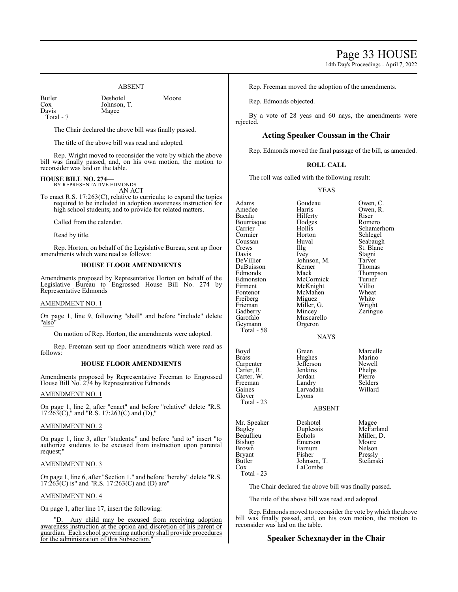# Page 33 HOUSE

14th Day's Proceedings - April 7, 2022

#### ABSENT

Cox Johnson, T.<br>Davis Magee Total - 7

Butler Deshotel Moore<br>Cox Johnson, T. Moore

The Chair declared the above bill was finally passed.

The title of the above bill was read and adopted.

Magee

Rep. Wright moved to reconsider the vote by which the above bill was finally passed, and, on his own motion, the motion to reconsider was laid on the table.

# **HOUSE BILL NO. 274—**

BY REPRESENTATIVE EDMONDS AN ACT

To enact R.S. 17:263(C), relative to curricula; to expand the topics required to be included in adoption awareness instruction for high school students; and to provide for related matters.

Called from the calendar.

Read by title.

Rep. Horton, on behalf of the Legislative Bureau, sent up floor amendments which were read as follows:

#### **HOUSE FLOOR AMENDMENTS**

Amendments proposed by Representative Horton on behalf of the Legislative Bureau to Engrossed House Bill No. 274 by Representative Edmonds

#### AMENDMENT NO. 1

On page 1, line 9, following "shall" and before "include" delete "also"

On motion of Rep. Horton, the amendments were adopted.

Rep. Freeman sent up floor amendments which were read as follows:

#### **HOUSE FLOOR AMENDMENTS**

Amendments proposed by Representative Freeman to Engrossed House Bill No. 274 by Representative Edmonds

# AMENDMENT NO. 1

On page 1, line 2, after "enact" and before "relative" delete "R.S.  $17:263(C)$ ," and "R.S. 17:263(C) and (D),"

### AMENDMENT NO. 2

On page 1, line 3, after "students;" and before "and to" insert "to authorize students to be excused from instruction upon parental request;"

#### AMENDMENT NO. 3

On page 1, line 6, after "Section 1." and before "hereby" delete "R.S.  $17:\hat{2}6\tilde{3}(C)$  is" and "R.S.  $17:263(C)$  and (D) are"

### AMENDMENT NO. 4

On page 1, after line 17, insert the following:

"D. Any child may be excused from receiving adoption awareness instruction at the option and discretion of his parent or guardian. Each school governing authority shall provide procedures for the administration of this Subsection."

Rep. Freeman moved the adoption of the amendments.

Rep. Edmonds objected.

By a vote of 28 yeas and 60 nays, the amendments were rejected.

# **Acting Speaker Coussan in the Chair**

Rep. Edmonds moved the final passage of the bill, as amended.

# **ROLL CALL**

The roll was called with the following result:

#### YEAS

| Adams<br>Amedee<br>Bacala<br>Bourriaque<br>Carrier<br>Cormier<br>Coussan<br>Crews<br>Davis<br>DeVillier<br>DuBuisson<br>Edmonds<br>Edmonston<br>Firment<br>Fontenot<br>Freiberg<br>Frieman<br>Gadberry<br>Garofalo<br>Geymann<br>Total - 58 | Goudeau<br>Harris<br>Hilferty<br>Hodges<br>Hollis<br>Horton<br>Huval<br>Illg<br>Ivey<br>Johnson, M.<br>Kerner<br>Mack<br>McCormick<br>McKnight<br>McMahen<br>Miguez<br>Miller, G.<br>Mincey<br>Muscarello<br>Orgeron<br><b>NAYS</b> | Owen, C.<br>Owen, R.<br>Riser<br>Romero<br>Schamerhorn<br>Schlegel<br>Seabaugh<br>St. Blanc<br>Stagni<br>Tarver<br>Thomas<br>Thompson<br>Turner<br>Villio<br>Wheat<br>White<br>Wright<br>Zeringue |
|---------------------------------------------------------------------------------------------------------------------------------------------------------------------------------------------------------------------------------------------|-------------------------------------------------------------------------------------------------------------------------------------------------------------------------------------------------------------------------------------|---------------------------------------------------------------------------------------------------------------------------------------------------------------------------------------------------|
| Boyd<br>Brass<br>Carpenter<br>Carter, R.<br>Carter, W.<br>Freeman<br>Gaines<br>Glover<br>Total - 23                                                                                                                                         | Green<br>Hughes<br>Jefferson<br>Jenkins<br>Jordan<br>Landry<br>Larvadain<br>Lyons<br><b>ABSENT</b>                                                                                                                                  | Marcelle<br>Marino<br>Newell<br>Phelps<br>Pierre<br>Selders<br>Willard                                                                                                                            |
| Mr. Speaker<br>Bagley<br>Beaullieu<br>Bishop<br>Brown<br>Bryant<br>Butler<br>Cox<br>Total - 23                                                                                                                                              | Deshotel<br>Duplessis<br>Echols<br>Emerson<br>Farnum<br>Fisher<br>Johnson, T.<br>LaCombe                                                                                                                                            | Magee<br>McFarland<br>Miller, D.<br>Moore<br>Nelson<br>Pressly<br>Stefanski                                                                                                                       |

The Chair declared the above bill was finally passed.

The title of the above bill was read and adopted.

Rep. Edmonds moved to reconsider the vote bywhich the above bill was finally passed, and, on his own motion, the motion to reconsider was laid on the table.

# **Speaker Schexnayder in the Chair**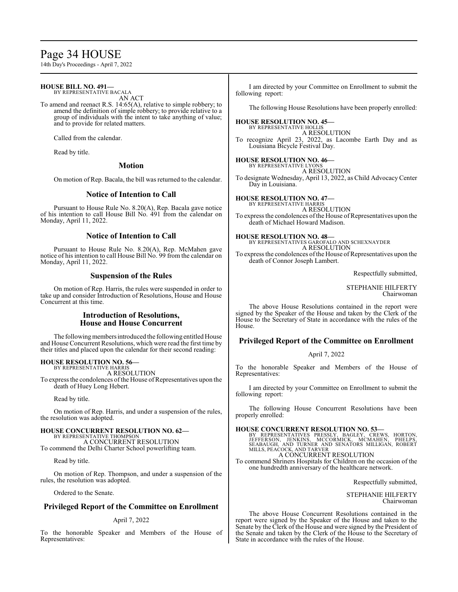# Page 34 HOUSE

14th Day's Proceedings - April 7, 2022

#### **HOUSE BILL NO. 491—** BY REPRESENTATIVE BACALA

AN ACT

To amend and reenact R.S. 14:65(A), relative to simple robbery; to amend the definition of simple robbery; to provide relative to a group of individuals with the intent to take anything of value; and to provide for related matters.

Called from the calendar.

Read by title.

# **Motion**

On motion of Rep. Bacala, the bill was returned to the calendar.

# **Notice of Intention to Call**

Pursuant to House Rule No. 8.20(A), Rep. Bacala gave notice of his intention to call House Bill No. 491 from the calendar on Monday, April 11, 2022.

# **Notice of Intention to Call**

Pursuant to House Rule No. 8.20(A), Rep. McMahen gave notice of his intention to call House Bill No. 99 from the calendar on Monday, April 11, 2022.

# **Suspension of the Rules**

On motion of Rep. Harris, the rules were suspended in order to take up and consider Introduction of Resolutions, House and House Concurrent at this time.

# **Introduction of Resolutions, House and House Concurrent**

The following members introduced the following entitled House and House Concurrent Resolutions, which were read the first time by their titles and placed upon the calendar for their second reading:

#### **HOUSE RESOLUTION NO. 56—**

BY REPRESENTATIVE HARRIS A RESOLUTION

To express the condolences of the House of Representatives upon the death of Huey Long Hebert.

Read by title.

On motion of Rep. Harris, and under a suspension of the rules, the resolution was adopted.

#### **HOUSE CONCURRENT RESOLUTION NO. 62—** BY REPRESENTATIVE THOMP A CONCURRENT RESOLUTION

To commend the Delhi Charter School powerlifting team.

Read by title.

On motion of Rep. Thompson, and under a suspension of the rules, the resolution was adopted.

Ordered to the Senate.

# **Privileged Report of the Committee on Enrollment**

#### April 7, 2022

To the honorable Speaker and Members of the House of Representatives:

I am directed by your Committee on Enrollment to submit the following report:

The following House Resolutions have been properly enrolled:

**HOUSE RESOLUTION NO. 45—** BY REPRESENTATIVE HOLLIS A RESOLUTION To recognize April 23, 2022, as Lacombe Earth Day and as Louisiana Bicycle Festival Day.

**HOUSE RESOLUTION NO. 46—** BY REPRESENTATIVE LYONS A RESOLUTION To designate Wednesday, April 13, 2022, as Child AdvocacyCenter Day in Louisiana.

**HOUSE RESOLUTION NO. 47—** BY REPRESENTATIVE HARRIS A RESOLUTION To express the condolences of the House of Representatives upon the death of Michael Howard Madison.

**HOUSE RESOLUTION NO. 48—** BY REPRESENTATIVES GAROFALO AND SCHEXNAYDER A RESOLUTION To express the condolences of the House of Representatives upon the death of Connor Joseph Lambert.

Respectfully submitted,

#### STEPHANIE HILFERTY Chairwoman

The above House Resolutions contained in the report were signed by the Speaker of the House and taken by the Clerk of the House to the Secretary of State in accordance with the rules of the House.

# **Privileged Report of the Committee on Enrollment**

#### April 7, 2022

To the honorable Speaker and Members of the House of Representatives:

I am directed by your Committee on Enrollment to submit the following report:

The following House Concurrent Resolutions have been properly enrolled:

**HOUSE CONCURRENT RESOLUTION NO. 53—**<br>BY REPRESENTATIVES PRESSLY, BAGLEY, CREWS, HORTON,<br>JEFFERSON, JENKINS, MCCORMICK, MCMAHEN, PHELPS,<br>SEABAUGH, AND TURNER AND SENATORS MILLIGAN, ROBERT MILLS, PEACOCK, AND TARVER A CONCURRENT RESOLUTION

To commend Shriners Hospitals for Children on the occasion of the one hundredth anniversary of the healthcare network.

Respectfully submitted,

STEPHANIE HILFERTY Chairwoman

The above House Concurrent Resolutions contained in the report were signed by the Speaker of the House and taken to the Senate by the Clerk of the House and were signed by the President of the Senate and taken by the Clerk of the House to the Secretary of State in accordance with the rules of the House.